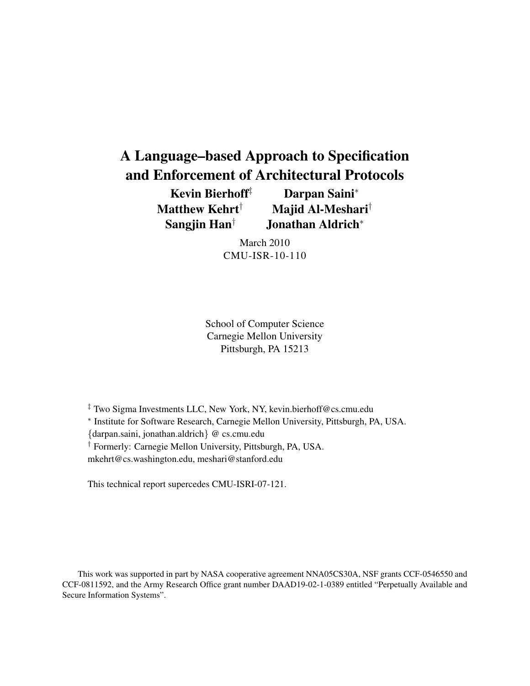# A Language–based Approach to Specification and Enforcement of Architectural Protocols

Kevin Bierhoff<sup>‡</sup> Darpan Saini<sup>\*</sup> Matthew Kehrt<sup>†</sup> Majid Al-Meshari<sup>†</sup> Sangjin Han† Jonathan Aldrich<sup>∗</sup>

> March 2010 CMU-ISR-10-110

School of Computer Science Carnegie Mellon University Pittsburgh, PA 15213

‡ Two Sigma Investments LLC, New York, NY, kevin.bierhoff@cs.cmu.edu ∗ Institute for Software Research, Carnegie Mellon University, Pittsburgh, PA, USA. {darpan.saini, jonathan.aldrich} @ cs.cmu.edu † Formerly: Carnegie Mellon University, Pittsburgh, PA, USA. mkehrt@cs.washington.edu, meshari@stanford.edu

This technical report supercedes CMU-ISRI-07-121.

This work was supported in part by NASA cooperative agreement NNA05CS30A, NSF grants CCF-0546550 and CCF-0811592, and the Army Research Office grant number DAAD19-02-1-0389 entitled "Perpetually Available and Secure Information Systems".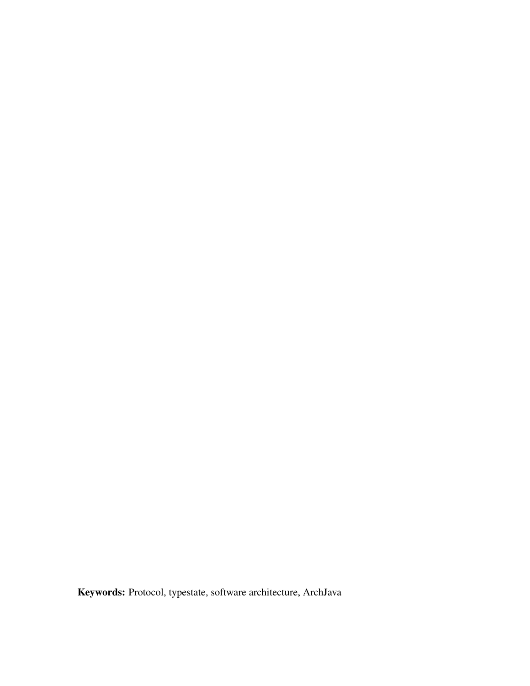Keywords: Protocol, typestate, software architecture, ArchJava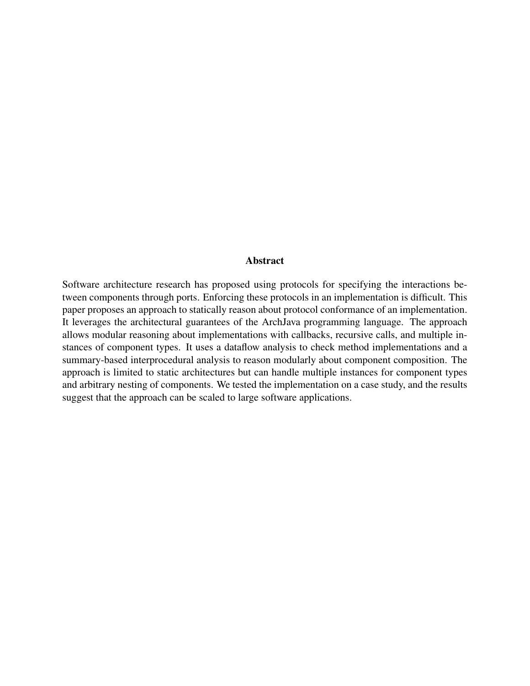#### Abstract

Software architecture research has proposed using protocols for specifying the interactions between components through ports. Enforcing these protocols in an implementation is difficult. This paper proposes an approach to statically reason about protocol conformance of an implementation. It leverages the architectural guarantees of the ArchJava programming language. The approach allows modular reasoning about implementations with callbacks, recursive calls, and multiple instances of component types. It uses a dataflow analysis to check method implementations and a summary-based interprocedural analysis to reason modularly about component composition. The approach is limited to static architectures but can handle multiple instances for component types and arbitrary nesting of components. We tested the implementation on a case study, and the results suggest that the approach can be scaled to large software applications.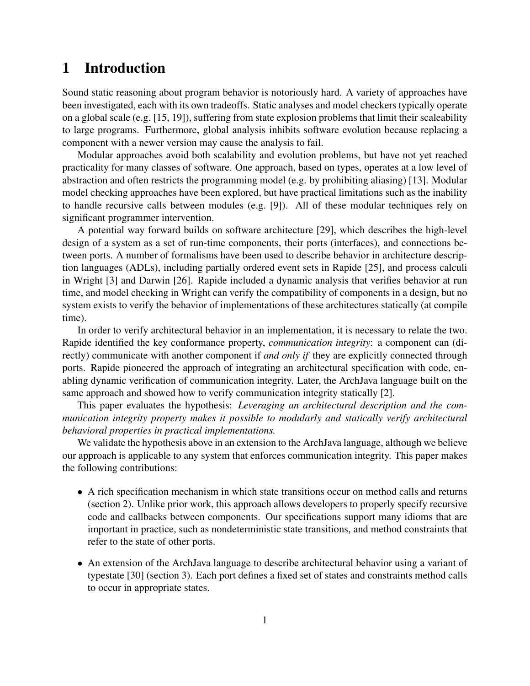## 1 Introduction

Sound static reasoning about program behavior is notoriously hard. A variety of approaches have been investigated, each with its own tradeoffs. Static analyses and model checkers typically operate on a global scale (e.g. [\[15,](#page-33-0) [19\]](#page-33-1)), suffering from state explosion problems that limit their scaleability to large programs. Furthermore, global analysis inhibits software evolution because replacing a component with a newer version may cause the analysis to fail.

Modular approaches avoid both scalability and evolution problems, but have not yet reached practicality for many classes of software. One approach, based on types, operates at a low level of abstraction and often restricts the programming model (e.g. by prohibiting aliasing) [\[13\]](#page-33-2). Modular model checking approaches have been explored, but have practical limitations such as the inability to handle recursive calls between modules (e.g. [\[9\]](#page-33-3)). All of these modular techniques rely on significant programmer intervention.

A potential way forward builds on software architecture [\[29\]](#page-34-0), which describes the high-level design of a system as a set of run-time components, their ports (interfaces), and connections between ports. A number of formalisms have been used to describe behavior in architecture description languages (ADLs), including partially ordered event sets in Rapide [\[25\]](#page-34-1), and process calculi in Wright [\[3\]](#page-32-0) and Darwin [\[26\]](#page-34-2). Rapide included a dynamic analysis that verifies behavior at run time, and model checking in Wright can verify the compatibility of components in a design, but no system exists to verify the behavior of implementations of these architectures statically (at compile time).

In order to verify architectural behavior in an implementation, it is necessary to relate the two. Rapide identified the key conformance property, *communication integrity*: a component can (directly) communicate with another component if *and only if* they are explicitly connected through ports. Rapide pioneered the approach of integrating an architectural specification with code, enabling dynamic verification of communication integrity. Later, the ArchJava language built on the same approach and showed how to verify communication integrity statically [\[2\]](#page-32-1).

This paper evaluates the hypothesis: *Leveraging an architectural description and the communication integrity property makes it possible to modularly and statically verify architectural behavioral properties in practical implementations.*

We validate the hypothesis above in an extension to the ArchJava language, although we believe our approach is applicable to any system that enforces communication integrity. This paper makes the following contributions:

- A rich specification mechanism in which state transitions occur on method calls and returns (section 2). Unlike prior work, this approach allows developers to properly specify recursive code and callbacks between components. Our specifications support many idioms that are important in practice, such as nondeterministic state transitions, and method constraints that refer to the state of other ports.
- An extension of the ArchJava language to describe architectural behavior using a variant of typestate [\[30\]](#page-34-3) (section 3). Each port defines a fixed set of states and constraints method calls to occur in appropriate states.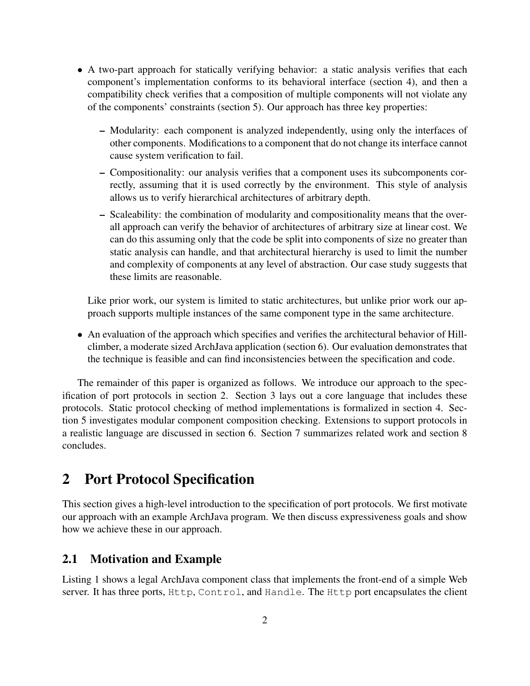- A two-part approach for statically verifying behavior: a static analysis verifies that each component's implementation conforms to its behavioral interface (section 4), and then a compatibility check verifies that a composition of multiple components will not violate any of the components' constraints (section 5). Our approach has three key properties:
	- Modularity: each component is analyzed independently, using only the interfaces of other components. Modifications to a component that do not change its interface cannot cause system verification to fail.
	- Compositionality: our analysis verifies that a component uses its subcomponents correctly, assuming that it is used correctly by the environment. This style of analysis allows us to verify hierarchical architectures of arbitrary depth.
	- Scaleability: the combination of modularity and compositionality means that the overall approach can verify the behavior of architectures of arbitrary size at linear cost. We can do this assuming only that the code be split into components of size no greater than static analysis can handle, and that architectural hierarchy is used to limit the number and complexity of components at any level of abstraction. Our case study suggests that these limits are reasonable.

Like prior work, our system is limited to static architectures, but unlike prior work our approach supports multiple instances of the same component type in the same architecture.

• An evaluation of the approach which specifies and verifies the architectural behavior of Hillclimber, a moderate sized ArchJava application (section 6). Our evaluation demonstrates that the technique is feasible and can find inconsistencies between the specification and code.

The remainder of this paper is organized as follows. We introduce our approach to the specification of port protocols in section 2. Section 3 lays out a core language that includes these protocols. Static protocol checking of method implementations is formalized in section 4. Section 5 investigates modular component composition checking. Extensions to support protocols in a realistic language are discussed in section 6. Section 7 summarizes related work and section 8 concludes.

## 2 Port Protocol Specification

This section gives a high-level introduction to the specification of port protocols. We first motivate our approach with an example ArchJava program. We then discuss expressiveness goals and show how we achieve these in our approach.

### 2.1 Motivation and Example

Listing [1](#page-37-0) shows a legal ArchJava component class that implements the front-end of a simple Web server. It has three ports, Http, Control, and Handle. The Http port encapsulates the client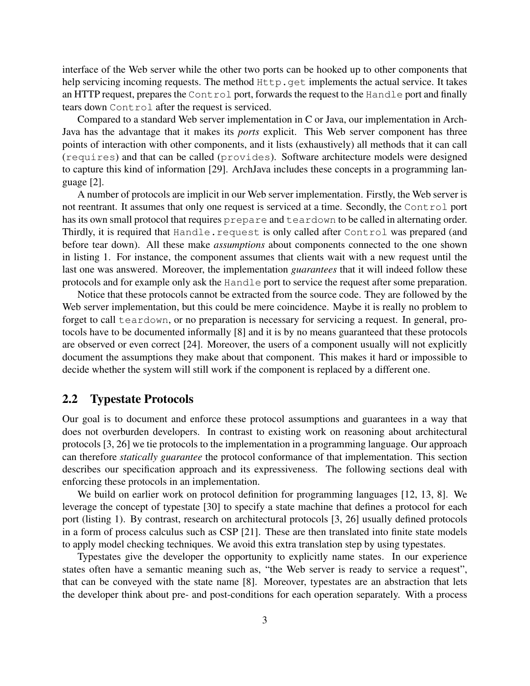interface of the Web server while the other two ports can be hooked up to other components that help servicing incoming requests. The method  $Http$ , get implements the actual service. It takes an HTTP request, prepares the Control port, forwards the request to the Handle port and finally tears down Control after the request is serviced.

Compared to a standard Web server implementation in C or Java, our implementation in Arch-Java has the advantage that it makes its *ports* explicit. This Web server component has three points of interaction with other components, and it lists (exhaustively) all methods that it can call (requires) and that can be called (provides). Software architecture models were designed to capture this kind of information [\[29\]](#page-34-0). ArchJava includes these concepts in a programming language [\[2\]](#page-32-1).

A number of protocols are implicit in our Web server implementation. Firstly, the Web server is not reentrant. It assumes that only one request is serviced at a time. Secondly, the Control port has its own small protocol that requires prepare and teardown to be called in alternating order. Thirdly, it is required that Handle.request is only called after Control was prepared (and before tear down). All these make *assumptions* about components connected to the one shown in listing [1.](#page-37-0) For instance, the component assumes that clients wait with a new request until the last one was answered. Moreover, the implementation *guarantees* that it will indeed follow these protocols and for example only ask the Handle port to service the request after some preparation.

Notice that these protocols cannot be extracted from the source code. They are followed by the Web server implementation, but this could be mere coincidence. Maybe it is really no problem to forget to call teardown, or no preparation is necessary for servicing a request. In general, protocols have to be documented informally [\[8\]](#page-33-4) and it is by no means guaranteed that these protocols are observed or even correct [\[24\]](#page-34-4). Moreover, the users of a component usually will not explicitly document the assumptions they make about that component. This makes it hard or impossible to decide whether the system will still work if the component is replaced by a different one.

#### 2.2 Typestate Protocols

Our goal is to document and enforce these protocol assumptions and guarantees in a way that does not overburden developers. In contrast to existing work on reasoning about architectural protocols [\[3,](#page-32-0) [26\]](#page-34-2) we tie protocols to the implementation in a programming language. Our approach can therefore *statically guarantee* the protocol conformance of that implementation. This section describes our specification approach and its expressiveness. The following sections deal with enforcing these protocols in an implementation.

We build on earlier work on protocol definition for programming languages [\[12,](#page-33-5) [13,](#page-33-2) [8\]](#page-33-4). We leverage the concept of typestate [\[30\]](#page-34-3) to specify a state machine that defines a protocol for each port (listing [1\)](#page-37-0). By contrast, research on architectural protocols [\[3,](#page-32-0) [26\]](#page-34-2) usually defined protocols in a form of process calculus such as CSP [\[21\]](#page-34-5). These are then translated into finite state models to apply model checking techniques. We avoid this extra translation step by using typestates.

Typestates give the developer the opportunity to explicitly name states. In our experience states often have a semantic meaning such as, "the Web server is ready to service a request", that can be conveyed with the state name [\[8\]](#page-33-4). Moreover, typestates are an abstraction that lets the developer think about pre- and post-conditions for each operation separately. With a process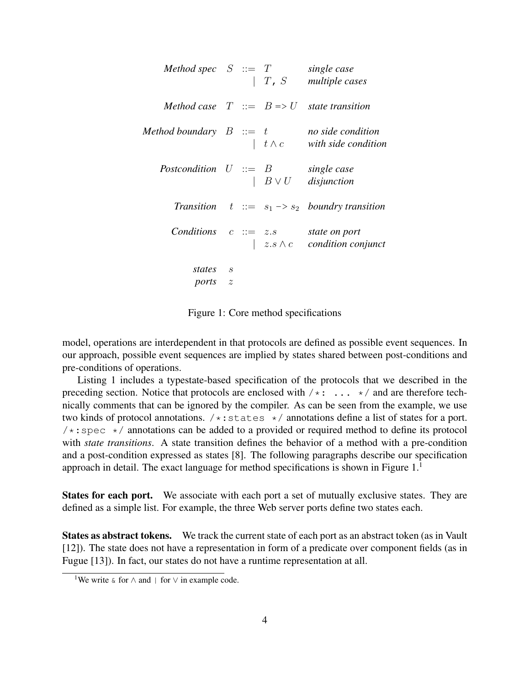*Method spec* S ::= T *single case* | T, S *multiple cases Method case*  $T := B \Rightarrow U$  *state transition Method boundary* B ::= t *no side condition* | t ∧ c *with side condition Postcondition* U ::= B *single case* | B ∨ U *disjunction Transition*  $t ::= s_1 \rightarrow s_2$  *boundry transition Conditions* c ::= z.s *state on port* | z.s ∧ c *condition conjunct states* s *ports* z

Figure 1: Core method specifications

<span id="page-7-0"></span>model, operations are interdependent in that protocols are defined as possible event sequences. In our approach, possible event sequences are implied by states shared between post-conditions and pre-conditions of operations.

Listing [1](#page-37-0) includes a typestate-based specification of the protocols that we described in the preceding section. Notice that protocols are enclosed with  $/*: ... * /$  and are therefore technically comments that can be ignored by the compiler. As can be seen from the example, we use two kinds of protocol annotations.  $/*:$  states  $*/$  annotations define a list of states for a port.  $/*:spec$  \*/ annotations can be added to a provided or required method to define its protocol with *state transitions*. A state transition defines the behavior of a method with a pre-condition and a post-condition expressed as states [\[8\]](#page-33-4). The following paragraphs describe our specification approach in detail. The exact language for method specifications is shown in Figure  $1<sup>1</sup>$ 

States for each port. We associate with each port a set of mutually exclusive states. They are defined as a simple list. For example, the three Web server ports define two states each.

States as abstract tokens. We track the current state of each port as an abstract token (as in Vault [\[12\]](#page-33-5)). The state does not have a representation in form of a predicate over component fields (as in Fugue [\[13\]](#page-33-2)). In fact, our states do not have a runtime representation at all.

<sup>&</sup>lt;sup>1</sup>We write  $\&$  for  $\wedge$  and | for  $\vee$  in example code.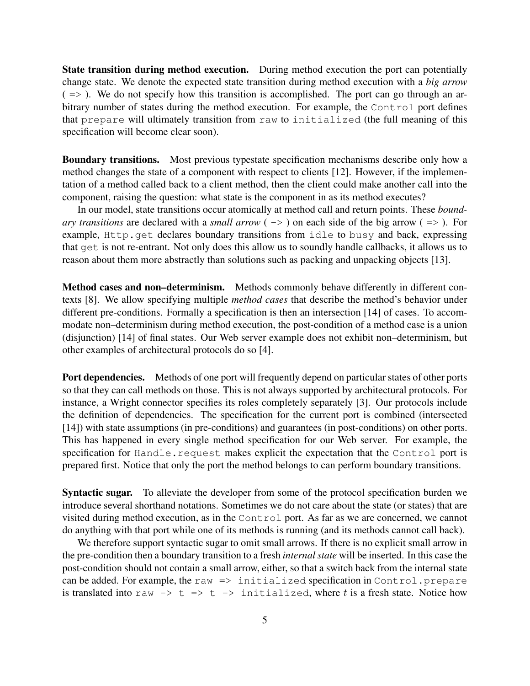State transition during method execution. During method execution the port can potentially change state. We denote the expected state transition during method execution with a *big arrow*  $( \Rightarrow )$ . We do not specify how this transition is accomplished. The port can go through an arbitrary number of states during the method execution. For example, the Control port defines that prepare will ultimately transition from raw to initialized (the full meaning of this specification will become clear soon).

Boundary transitions. Most previous typestate specification mechanisms describe only how a method changes the state of a component with respect to clients [\[12\]](#page-33-5). However, if the implementation of a method called back to a client method, then the client could make another call into the component, raising the question: what state is the component in as its method executes?

In our model, state transitions occur atomically at method call and return points. These *boundary transitions* are declared with a *small arrow* ( -> ) on each side of the big arrow ( => ). For example, Http.get declares boundary transitions from idle to busy and back, expressing that get is not re-entrant. Not only does this allow us to soundly handle callbacks, it allows us to reason about them more abstractly than solutions such as packing and unpacking objects [\[13\]](#page-33-2).

Method cases and non-determinism. Methods commonly behave differently in different contexts [\[8\]](#page-33-4). We allow specifying multiple *method cases* that describe the method's behavior under different pre-conditions. Formally a specification is then an intersection [\[14\]](#page-33-6) of cases. To accommodate non–determinism during method execution, the post-condition of a method case is a union (disjunction) [\[14\]](#page-33-6) of final states. Our Web server example does not exhibit non–determinism, but other examples of architectural protocols do so [\[4\]](#page-32-2).

Port dependencies. Methods of one port will frequently depend on particular states of other ports so that they can call methods on those. This is not always supported by architectural protocols. For instance, a Wright connector specifies its roles completely separately [\[3\]](#page-32-0). Our protocols include the definition of dependencies. The specification for the current port is combined (intersected [\[14\]](#page-33-6)) with state assumptions (in pre-conditions) and guarantees (in post-conditions) on other ports. This has happened in every single method specification for our Web server. For example, the specification for Handle.request makes explicit the expectation that the Control port is prepared first. Notice that only the port the method belongs to can perform boundary transitions.

Syntactic sugar. To alleviate the developer from some of the protocol specification burden we introduce several shorthand notations. Sometimes we do not care about the state (or states) that are visited during method execution, as in the Control port. As far as we are concerned, we cannot do anything with that port while one of its methods is running (and its methods cannot call back).

We therefore support syntactic sugar to omit small arrows. If there is no explicit small arrow in the pre-condition then a boundary transition to a fresh *internal state* will be inserted. In this case the post-condition should not contain a small arrow, either, so that a switch back from the internal state can be added. For example, the raw  $\Rightarrow$  initialized specification in Control.prepare is translated into raw  $\rightarrow$  t  $\rightarrow$  t  $\rightarrow$  initialized, where t is a fresh state. Notice how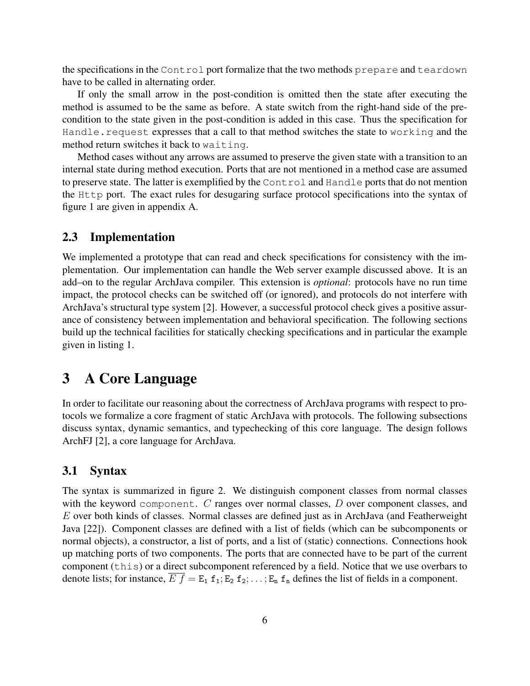the specifications in the Control port formalize that the two methods prepare and teardown have to be called in alternating order.

If only the small arrow in the post-condition is omitted then the state after executing the method is assumed to be the same as before. A state switch from the right-hand side of the precondition to the state given in the post-condition is added in this case. Thus the specification for Handle.request expresses that a call to that method switches the state to working and the method return switches it back to waiting.

Method cases without any arrows are assumed to preserve the given state with a transition to an internal state during method execution. Ports that are not mentioned in a method case are assumed to preserve state. The latter is exemplified by the Control and Handle ports that do not mention the Http port. The exact rules for desugaring surface protocol specifications into the syntax of figure [1](#page-7-0) are given in appendix [A.](#page-34-6)

### 2.3 Implementation

We implemented a prototype that can read and check specifications for consistency with the implementation. Our implementation can handle the Web server example discussed above. It is an add–on to the regular ArchJava compiler. This extension is *optional*: protocols have no run time impact, the protocol checks can be switched off (or ignored), and protocols do not interfere with ArchJava's structural type system [\[2\]](#page-32-1). However, a successful protocol check gives a positive assurance of consistency between implementation and behavioral specification. The following sections build up the technical facilities for statically checking specifications and in particular the example given in listing [1.](#page-37-0)

## 3 A Core Language

In order to facilitate our reasoning about the correctness of ArchJava programs with respect to protocols we formalize a core fragment of static ArchJava with protocols. The following subsections discuss syntax, dynamic semantics, and typechecking of this core language. The design follows ArchFJ [\[2\]](#page-32-1), a core language for ArchJava.

### 3.1 Syntax

The syntax is summarized in figure [2.](#page-10-0) We distinguish component classes from normal classes with the keyword component. C ranges over normal classes, D over component classes, and E over both kinds of classes. Normal classes are defined just as in ArchJava (and Featherweight Java [\[22\]](#page-34-7)). Component classes are defined with a list of fields (which can be subcomponents or normal objects), a constructor, a list of ports, and a list of (static) connections. Connections hook up matching ports of two components. The ports that are connected have to be part of the current component (this) or a direct subcomponent referenced by a field. Notice that we use overbars to denote lists; for instance,  $\overline{E} f = E_1 f_1; E_2 f_2; \dots; E_n f_n$  defines the list of fields in a component.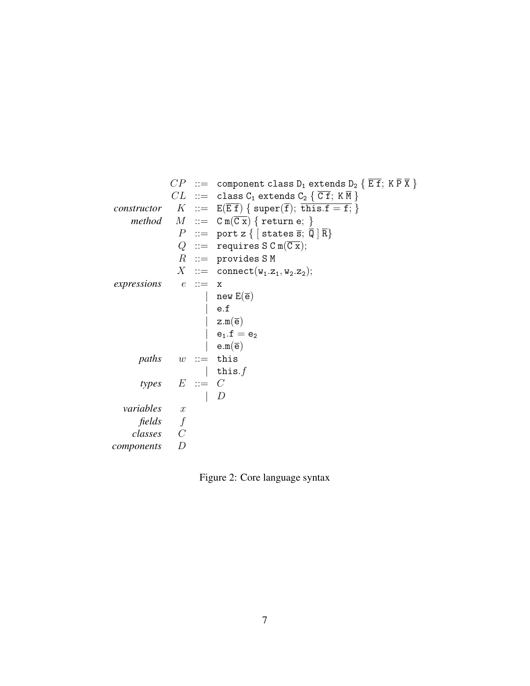$CP$  ::= component class D<sub>1</sub> extends D<sub>2</sub> {  $\overline{E f}$ ; K  $\overline{P} \overline{X}$  }  $CL$  ::= class  $C_1$  extends  $C_2 \{ \overline{C} \overline{f}$ ;  $K \overline{M} \}$ *constructor*  $K := E(Ef) \{ super(\overline{f}); \overline{this.f = f}; \}$ *method*  $M := C m(\overline{Cx})$  { return e; }  $P$  ::= port z {  $\left[$  states  $\overline{s}$ ;  $\overline{Q}$   $\left| \overline{R} \right\rangle$  $Q$  ::= requires S C m( $\overline{C x}$ );  $R$  := provides SM  $X$  := connect( $w_1.z_1, w_2.z_2$ ); *expressions*  $e ::= x$  $new E(\overline{e})$ | e.f  $z.m(\overline{e})$  $e_1.f = e_2$  $e.m(\overline{e})$  $paths \quad w ::= this$ | this. $f$  $types$   $E ::= C$  $\mid D$ *variables* x *fields* f *classes* C *components* D

<span id="page-10-0"></span>Figure 2: Core language syntax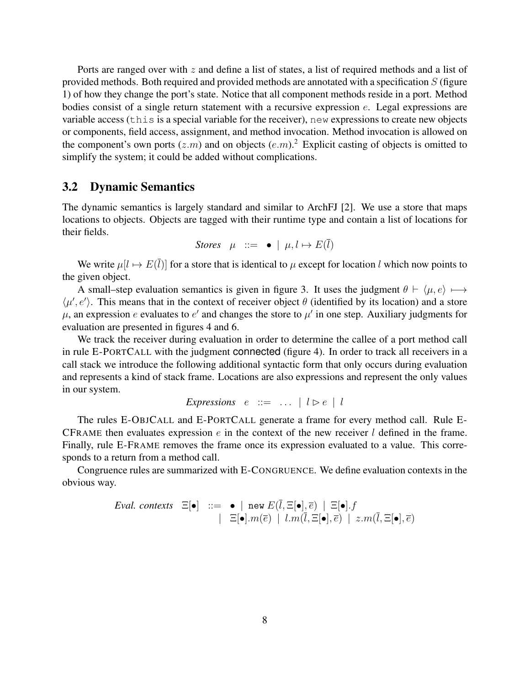Ports are ranged over with  $z$  and define a list of states, a list of required methods and a list of provided methods. Both required and provided methods are annotated with a specification S (figure [1\)](#page-7-0) of how they change the port's state. Notice that all component methods reside in a port. Method bodies consist of a single return statement with a recursive expression e. Legal expressions are variable access (this is a special variable for the receiver), new expressions to create new objects or components, field access, assignment, and method invocation. Method invocation is allowed on the component's own ports  $(z.m)$  and on objects  $(e.m)^2$ . Explicit casting of objects is omitted to simplify the system; it could be added without complications.

#### 3.2 Dynamic Semantics

The dynamic semantics is largely standard and similar to ArchFJ [\[2\]](#page-32-1). We use a store that maps locations to objects. Objects are tagged with their runtime type and contain a list of locations for their fields.

*Stores* 
$$
\mu ::= \bullet | \mu, l \mapsto E(\overline{l})
$$

We write  $\mu[l \mapsto E(\overline{l})]$  for a store that is identical to  $\mu$  except for location l which now points to the given object.

A small–step evaluation semantics is given in figure [3.](#page-12-0) It uses the judgment  $\theta \vdash \langle \mu, e \rangle \mapsto$  $\langle \mu', e' \rangle$ . This means that in the context of receiver object  $\theta$  (identified by its location) and a store  $\mu$ , an expression e evaluates to e' and changes the store to  $\mu'$  in one step. Auxiliary judgments for evaluation are presented in figures [4](#page-13-0) and [6.](#page-16-0)

We track the receiver during evaluation in order to determine the callee of a port method call in rule E-PORTCALL with the judgment connected (figure [4\)](#page-13-0). In order to track all receivers in a call stack we introduce the following additional syntactic form that only occurs during evaluation and represents a kind of stack frame. Locations are also expressions and represent the only values in our system.

*Expressions*  $e ::= ... | l \triangleright e | l$ 

The rules E-OBJCALL and E-PORTCALL generate a frame for every method call. Rule E-CFRAME then evaluates expression  $e$  in the context of the new receiver  $l$  defined in the frame. Finally, rule E-FRAME removes the frame once its expression evaluated to a value. This corresponds to a return from a method call.

Congruence rules are summarized with E-CONGRUENCE. We define evaluation contexts in the obvious way.

*Eval. contexts* 
$$
\Xi[\bullet]
$$
 ::=  $\bullet \mid \text{new } E(\overline{l}, \Xi[\bullet], \overline{e}) \mid \Xi[\bullet].f$   
 $\mid \Xi[\bullet].m(\overline{e}) \mid l.m(\overline{l}, \Xi[\bullet], \overline{e}) \mid z.m(\overline{l}, \Xi[\bullet], \overline{e})$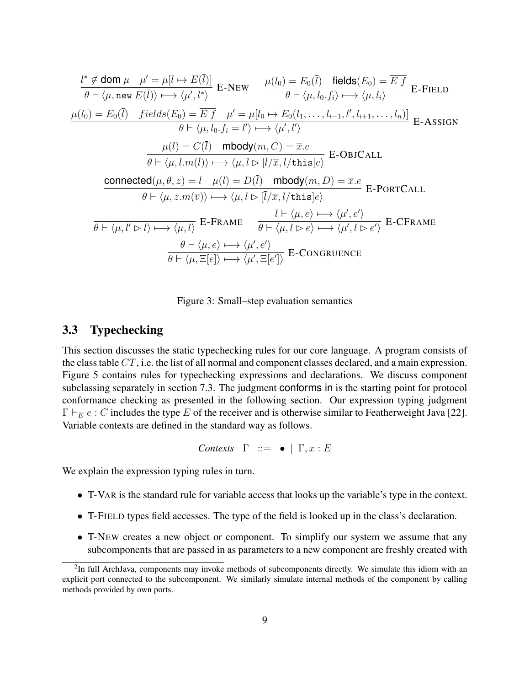$$
\frac{l^* \notin \text{dom } \mu \quad \mu' = \mu[l \mapsto E(\overline{l})]}{\theta \vdash \langle \mu, \text{new } E(\overline{l}) \rangle \longmapsto \langle \mu', l^* \rangle} \text{ E-NEW} \qquad \frac{\mu(l_0) = E_0(\overline{l}) \quad \text{fields}(E_0) = \overline{E} \ f}{\theta \vdash \langle \mu, l_0, f_i \rangle \longmapsto \langle \mu, l_i \rangle} \text{ E-FIELD}
$$
\n
$$
\frac{\mu(l_0) = E_0(\overline{l}) \quad \text{fields}(E_0) = \overline{E} \ f \quad \mu' = \mu[l_0 \mapsto E_0(l_1, \dots, l_{i-1}, l', l_{i+1}, \dots, l_n)]}{\theta \vdash \langle \mu, l_0, f_i = l' \rangle \longmapsto \langle \mu', l' \rangle} \text{ E-ASSIGN}
$$
\n
$$
\frac{\mu(l) = C(\overline{l}) \quad \text{mbody}(m, C) = \overline{x}.e}{\theta \vdash \langle \mu, l.m(\overline{l}) \rangle \longmapsto \langle \mu, l \triangleright [\overline{l}/\overline{x}, l/\text{this}]e \rangle} \text{ E-OBICALL}
$$
\n
$$
\frac{\text{connected}(\mu, \theta, z) = l \quad \mu(l) = D(\overline{l}) \quad \text{mbody}(m, D) = \overline{x}.e}{\theta \vdash \langle \mu, z.m(\overline{v}) \rangle \longmapsto \langle \mu, l \triangleright [\overline{l}/\overline{x}, l/\text{this}]e \rangle} \text{ E-PORTCALL}
$$
\n
$$
\frac{l \vdash \langle \mu, e \rangle \longmapsto \langle \mu', e' \rangle}{\theta \vdash \langle \mu, l' \triangleright l \rangle \longmapsto \langle \mu, l \rangle} \text{ E-FRAME} \qquad \frac{l \vdash \langle \mu, e \rangle \longmapsto \langle \mu', l \triangleright e' \rangle}{\theta \vdash \langle \mu, \overline{e} | e \rangle \longmapsto \langle \mu', \overline{e}' \rangle} \text{ E-CFRAME}
$$
\n
$$
\frac{\theta \vdash \langle \mu, e \rangle \longmapsto \langle \mu', e' \rangle}{\theta \vdash \langle \mu, \overline{e} | e \rangle \longmapsto \langle \mu', \overline{e}' \rangle} \text{ E-CONGRUEN
$$

Figure 3: Small–step evaluation semantics

### <span id="page-12-0"></span>3.3 Typechecking

This section discusses the static typechecking rules for our core language. A program consists of the class table  $CT$ , i.e. the list of all normal and component classes declared, and a main expression. Figure [5](#page-14-0) contains rules for typechecking expressions and declarations. We discuss component subclassing separately in section [7.3.](#page-30-0) The judgment conforms in is the starting point for protocol conformance checking as presented in the following section. Our expression typing judgment  $\Gamma \vdash_E e : C$  includes the type E of the receiver and is otherwise similar to Featherweight Java [\[22\]](#page-34-7). Variable contexts are defined in the standard way as follows.

```
Contexts \Gamma ::= • \Gamma, x : E
```
We explain the expression typing rules in turn.

- T-VAR is the standard rule for variable access that looks up the variable's type in the context.
- T-FIELD types field accesses. The type of the field is looked up in the class's declaration.
- T-NEW creates a new object or component. To simplify our system we assume that any subcomponents that are passed in as parameters to a new component are freshly created with

<sup>&</sup>lt;sup>2</sup>In full ArchJava, components may invoke methods of subcomponents directly. We simulate this idiom with an explicit port connected to the subcomponent. We similarly simulate internal methods of the component by calling methods provided by own ports.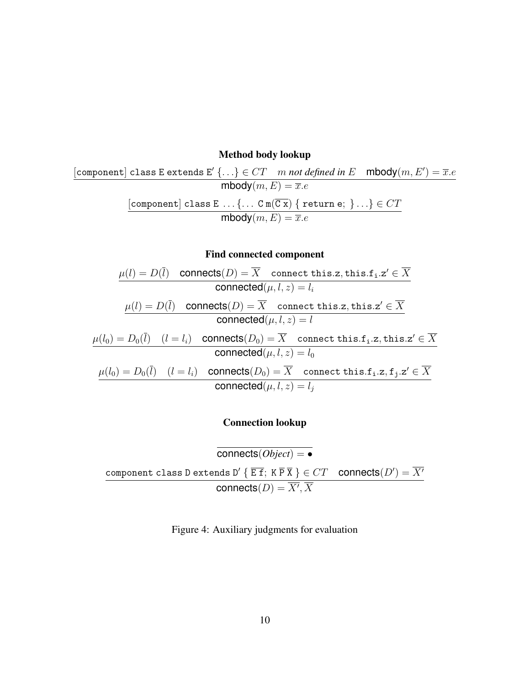### Method body lookup

$$
\begin{aligned}[{\sf component}] \; \texttt{class}\; \texttt{E}\; \texttt{extends}\; \texttt{E}' \; \{\ldots\} &\in CT \quad m \: \textit{not defined in}\; \texttt{E} \quad \textsf{mbody}(m, E') = \overline{x}.e \\ &\textsf{mbody}(m, E) = \overline{x}.e \\ &\texttt{[component]}\; \texttt{class}\; \texttt{E} \; \ldots \{\ldots\; \texttt{C}\; \texttt{m}(\overline{\texttt{C}\; \textbf{x}}) \; \{\; \texttt{return}\; \texttt{e};\; \}\ldots\} \in CT \\ &\textsf{mbody}(m, E) = \overline{x}.e \end{aligned}
$$

### Find connected component

$$
\frac{\mu(l) = D(\overline{l}) \quad \text{connects}(D) = \overline{X} \quad \text{connect this}.z, \text{this}.f_i.z' \in \overline{X} \quad \text{connected}(\mu, l, z) = l_i}{\text{connected}(\mu, l, z) = l_i} \quad\n \frac{\mu(l) = D(\overline{l}) \quad \text{connects}(D) = \overline{X} \quad \text{connect this}.z, \text{this}.z' \in \overline{X} \quad \text{connected}(\mu, l, z) = l} \quad\n \frac{\mu(l_0) = D_0(\overline{l}) \quad (l = l_i) \quad \text{connects}(D_0) = \overline{X} \quad \text{connect this}.f_i.z, \text{this}.z' \in \overline{X} \quad \text{connected}(\mu, l, z) = l_0} \quad\n \frac{\mu(l_0) = D_0(\overline{l}) \quad (l = l_i) \quad \text{connects}(D_0) = \overline{X} \quad \text{connect this}.f_i.z, f_j.z' \in \overline{X} \quad \text{connected}(\mu, l, z) = l_j}
$$

### Connection lookup

<span id="page-13-0"></span>connects(*Object*) = • component class D extends D'  $\{ \overline{\texttt{E f}}; \ \texttt{K} \, \overline{\texttt{P}} \, \overline{\texttt{X}} \, \} \in CT$  connects $(D') = \overline{X'}$  $\mathsf{connects}(D) = \overline{X'}, \overline{X}$ 

Figure 4: Auxiliary judgments for evaluation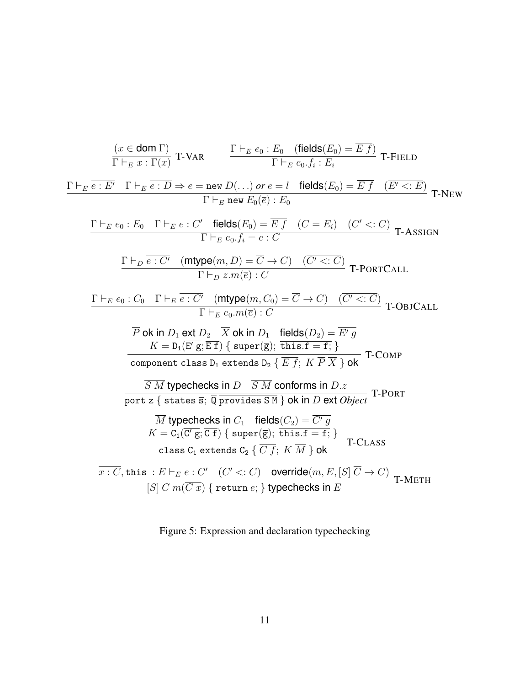$$
\frac{(x \in \text{dom }\Gamma)}{\Gamma +_{E} x : \Gamma(x)} \text{ T-VAR} \qquad \frac{\Gamma +_{E} e_{0} : E_{0} \quad (\text{fields}(E_{0}) = \overline{E f})}{\Gamma +_{E} e_{0} f_{i} : E_{i}} \text{ T-FIELD}
$$
\n
$$
\frac{\Gamma +_{E} \overline{e : E'} \quad \Gamma +_{E} \overline{e : D} \Rightarrow \overline{e = \text{new } D(...) \text{ or } e = l} \quad \text{fields}(E_{0}) = \overline{E f} \quad (\overline{E' <: E)} \quad \text{T-NEW} \quad \Gamma +_{E} e_{0} : E_{0} \quad (\overline{E' <: E}) \quad \text{T-NEW} \quad \Gamma +_{E} e_{0} : E_{0} \quad (\overline{E' <: C}) \quad \text{T-ASKM} \quad \Gamma +_{E} e_{0} : E_{0} \quad (\overline{E' <: C}) \quad \text{T-ASKM} \quad \Gamma +_{E} e_{0} : E_{0} : C \quad \Gamma +_{E} e_{0} : E_{0} : C \quad \Gamma +_{E} e_{0} : C \quad \Gamma +_{E} e_{0} : C \quad \Gamma +_{E} e_{0} : C \quad \Gamma +_{E} e_{0} : C \quad \Gamma +_{E} e_{0} : C \quad \Gamma +_{E} e_{0} : C \quad \Gamma +_{E} e_{0} : C \quad \Gamma +_{E} e_{0} : C \quad \Gamma +_{E} e_{0} : C \quad \Gamma +_{E} e_{0} : C \quad \Gamma +_{E} e_{0} : C \quad \Gamma +_{E} e_{0} : C \quad \Gamma +_{E} e_{0} : C \quad \Gamma +_{E} e_{0} : C \quad \text{T-צ} \quad \text{T-} \quad \text{OblCALL}
$$
\n
$$
\overline{P} \text{ ok in } D_1 \text{ ext } D_2 \quad \overline{X} \text{ ok in } D_1 \quad \text{fields}(D_2) = \overline{E' g} \quad \text{T-} \quad \text{OblCALL}
$$
\n
$$
\overline{P} \text{ ok in } D_1 \text{ ext } D_2 \quad \overline{E f}; K \overline{P X} \text{ dok} \quad \text{T-} \quad \text{OblCALL}
$$
\n
$$
\overline{E \text{ No non-} }
$$

<span id="page-14-0"></span>Figure 5: Expression and declaration typechecking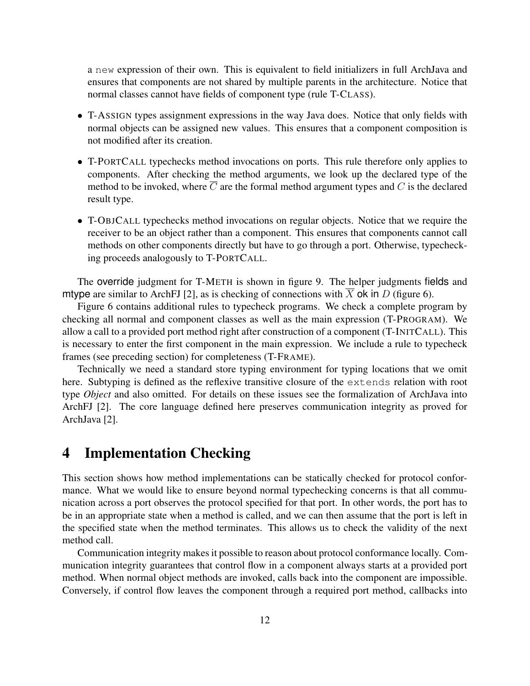a new expression of their own. This is equivalent to field initializers in full ArchJava and ensures that components are not shared by multiple parents in the architecture. Notice that normal classes cannot have fields of component type (rule T-CLASS).

- T-ASSIGN types assignment expressions in the way Java does. Notice that only fields with normal objects can be assigned new values. This ensures that a component composition is not modified after its creation.
- T-PORTCALL typechecks method invocations on ports. This rule therefore only applies to components. After checking the method arguments, we look up the declared type of the method to be invoked, where  $\overline{C}$  are the formal method argument types and C is the declared result type.
- T-OBJCALL typechecks method invocations on regular objects. Notice that we require the receiver to be an object rather than a component. This ensures that components cannot call methods on other components directly but have to go through a port. Otherwise, typechecking proceeds analogously to T-PORTCALL.

The override judgment for T-METH is shown in figure [9.](#page-20-0) The helper judgments fields and mtype are similar to ArchFJ [\[2\]](#page-32-1), as is checking of connections with  $\overline{X}$  ok in D (figure [6\)](#page-16-0).

Figure [6](#page-16-0) contains additional rules to typecheck programs. We check a complete program by checking all normal and component classes as well as the main expression (T-PROGRAM). We allow a call to a provided port method right after construction of a component (T-INITCALL). This is necessary to enter the first component in the main expression. We include a rule to typecheck frames (see preceding section) for completeness (T-FRAME).

Technically we need a standard store typing environment for typing locations that we omit here. Subtyping is defined as the reflexive transitive closure of the extends relation with root type *Object* and also omitted. For details on these issues see the formalization of ArchJava into ArchFJ [\[2\]](#page-32-1). The core language defined here preserves communication integrity as proved for ArchJava [\[2\]](#page-32-1).

## <span id="page-15-0"></span>4 Implementation Checking

This section shows how method implementations can be statically checked for protocol conformance. What we would like to ensure beyond normal typechecking concerns is that all communication across a port observes the protocol specified for that port. In other words, the port has to be in an appropriate state when a method is called, and we can then assume that the port is left in the specified state when the method terminates. This allows us to check the validity of the next method call.

Communication integrity makes it possible to reason about protocol conformance locally. Communication integrity guarantees that control flow in a component always starts at a provided port method. When normal object methods are invoked, calls back into the component are impossible. Conversely, if control flow leaves the component through a required port method, callbacks into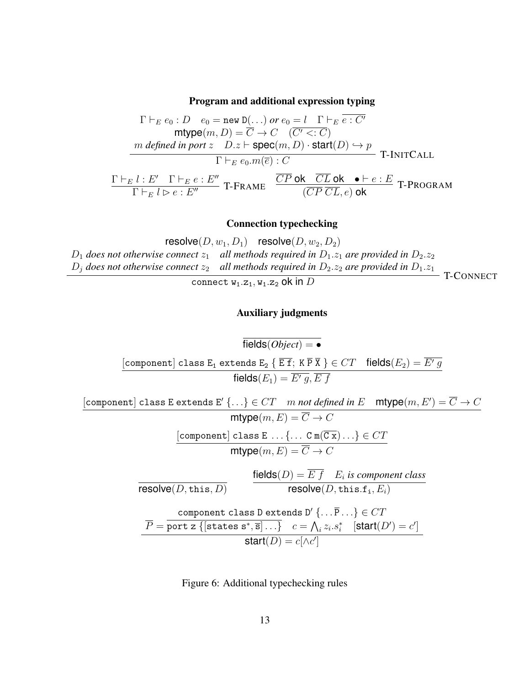Program and additional expression typing

$$
\Gamma \vdash_E e_0 : D \quad e_0 = \text{new } D(\dots) \text{ or } e_0 = l \quad \Gamma \vdash_E \overline{e : C'}
$$
\n
$$
\text{mtype}(m, D) = \overline{C} \to C \quad (\overline{C' < : C})
$$
\n
$$
\frac{m \text{ defined in port } z \quad D.z \vdash \text{spec}(m, D) \cdot \text{start}(D) \to p}{\Gamma \vdash_E e_0.m(\overline{e}) : C} \quad \text{T-INTCALL}
$$
\n
$$
\frac{\Gamma \vdash_E l : E' \quad \Gamma \vdash_E e : E''}{\Gamma \vdash_E l \rhd e : E''} \quad \text{T-FRAME} \quad \frac{\overline{CP} \text{ ok } \quad \overline{CL} \text{ ok } \bullet \vdash e : E}{(\overline{CP} \text{ CL}, e) \text{ ok }} \quad \text{T-PROGRAM}
$$

#### Connection typechecking

 $\mathsf{resolve}(D, w_1, D_1)$  resolve $(D, w_2, D_2)$  $D_1$  *does not otherwise connect*  $z_1$  *all methods required in*  $D_1.z_1$  *are provided in*  $D_2.z_2$  $D_j$  does not otherwise connect  $z_2$  *all methods required in*  $D_2.z_2$  are provided in  $D_1.z_1$ connect  $w_1.z_1, w_1.z_2$  ok in  $D$ T-CONNECT

#### Auxiliary judgments

$$
\begin{array}{rcl}\n\hline\n\text{fields}(Object) & = & \\
\hline\n\text{component} \text{ class } E_1 \text{ extends } E_2 \{ \overline{E} \overline{f}; \, K \overline{P} \overline{X} \} \in CT \quad \text{fields}(E_2) = \overline{E' g} \\
\hline\n\text{fields}(E_1) & = \overline{E' g}, \overline{E \overline{f}} \\
\hline\n\end{array}
$$
\n
$$
\begin{array}{rcl}\n\hline\n\text{component} \text{ class } E \text{ extends } E' \{ \dots \} \in CT \quad m \text{ not defined in } E \quad \text{mtype}(m, E') = \overline{C} \to C \\
\hline\n\text{mtype}(m, E) & = \overline{C} \to C \\
\hline\n\end{array}
$$
\n
$$
\begin{array}{rcl}\n\hline\n\text{component} \text{ class } E \quad \dots \{ \dots \text{ C m}(\overline{C} \overline{x}) \dots \} \in CT \\
\hline\n\text{mtype}(m, E) & = \overline{C} \to C\n\end{array}
$$
\n
$$
\begin{array}{rcl}\n\hline\n\text{fields}(D) & = \overline{E} \overline{f} & E_i \text{ is component class} \\
\hline\n\text{resolve}(D, \text{this}, D) & \text{resolve}(D, \text{this}, f_i, E_i) \\
\hline\n\end{array}
$$
\n
$$
\begin{array}{rcl}\n\hline\n\text{component class } D \text{ extends } D' \{ \dots \overline{P} \dots \} \in CT \\
\hline\n\overline{P} & = \overline{\text{port } z \{ \text{states } s^*, \overline{s} \} \dots \} \quad c = \bigwedge_i z_i.s_i^* \quad [\text{start}(D') = c'] \\
\hline\n\end{array}
$$

<span id="page-16-0"></span>Figure 6: Additional typechecking rules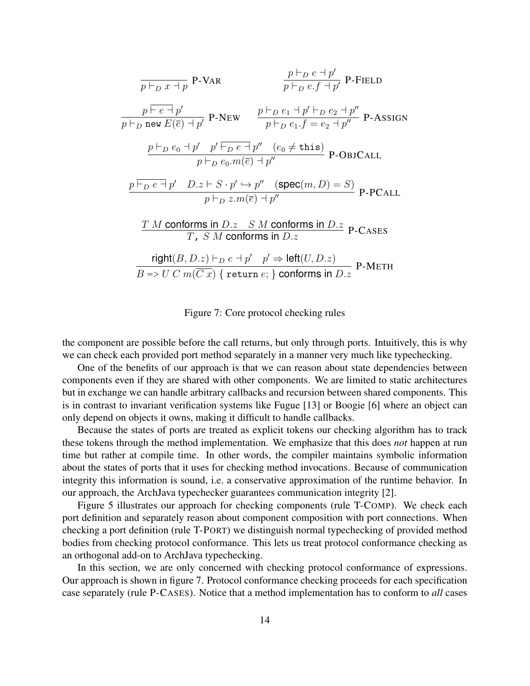$$
\frac{p \vdash_D x + p}{p \vdash_D x + p} \text{ P-VAR}
$$
\n
$$
\frac{p \vdash_D e + p'}{p \vdash_D e.f + p'} \text{ P-FIED}
$$
\n
$$
\frac{p \vdash_B e + p'}{p \vdash_D \text{ new } E(\overline{e}) + p'} \text{ P-NEW}
$$
\n
$$
\frac{p \vdash_D e_1 + p' \vdash_D e_2 + p''}{p \vdash_D e_1.f = e_2 + p''} \text{ P-ASSIGN}
$$
\n
$$
\frac{p \vdash_D e_0 + p' \quad p' \vdash_D e + p'' \quad (e_0 \ne \text{this})}{p \vdash_D e_0.m(\overline{e}) + p''} \text{ P-OBJCAL}
$$
\n
$$
\frac{p \vdash_D e + p' \quad D.z \vdash S \cdot p' \leftrightarrow p'' \quad (\text{spec}(m, D) = S)}{p \vdash_D z.m(\overline{e}) + p''} \text{ P-PCALL}
$$
\n
$$
\frac{T \ M \text{ conforms in } D.z \quad S \ M \text{ conforms in } D.z}{T, S \ M \text{ conforms in } D.z} \text{ P-CASEs}
$$
\n
$$
\frac{\text{right}(B, D.z) \vdash_D e + p' \quad p' \Rightarrow \text{left}(U, D.z)}{B \Rightarrow U \ C \ m(\overline{C}x) \{ \text{ return } e; \} \text{ conforms in } D.z} \text{ P-MENT}
$$

Figure 7: Core protocol checking rules

<span id="page-17-0"></span>the component are possible before the call returns, but only through ports. Intuitively, this is why we can check each provided port method separately in a manner very much like typechecking.

One of the benefits of our approach is that we can reason about state dependencies between components even if they are shared with other components. We are limited to static architectures but in exchange we can handle arbitrary callbacks and recursion between shared components. This is in contrast to invariant verification systems like Fugue [\[13\]](#page-33-2) or Boogie [\[6\]](#page-32-3) where an object can only depend on objects it owns, making it difficult to handle callbacks.

Because the states of ports are treated as explicit tokens our checking algorithm has to track these tokens through the method implementation. We emphasize that this does *not* happen at run time but rather at compile time. In other words, the compiler maintains symbolic information about the states of ports that it uses for checking method invocations. Because of communication integrity this information is sound, i.e. a conservative approximation of the runtime behavior. In our approach, the ArchJava typechecker guarantees communication integrity [\[2\]](#page-32-1).

Figure [5](#page-14-0) illustrates our approach for checking components (rule T-COMP). We check each port definition and separately reason about component composition with port connections. When checking a port definition (rule T-PORT) we distinguish normal typechecking of provided method bodies from checking protocol conformance. This lets us treat protocol conformance checking as an orthogonal add-on to ArchJava typechecking.

In this section, we are only concerned with checking protocol conformance of expressions. Our approach is shown in figure [7.](#page-17-0) Protocol conformance checking proceeds for each specification case separately (rule P-CASES). Notice that a method implementation has to conform to *all* cases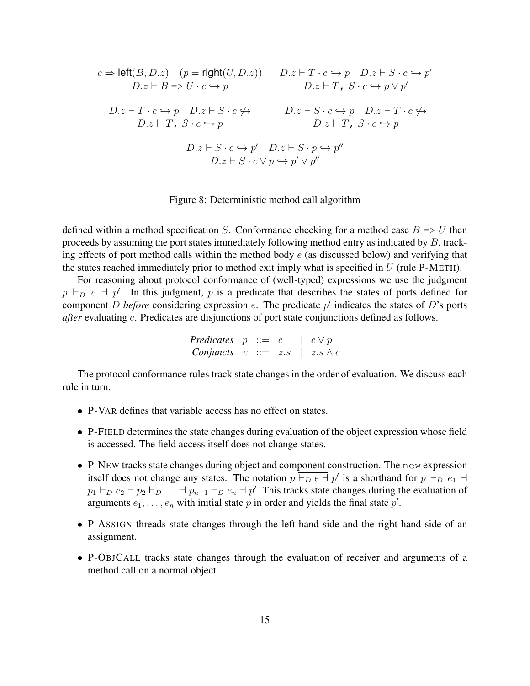$$
\frac{c \Rightarrow \text{left}(B, D.z) \quad (p = \text{right}(U, D.z))}{D.z \vdash B \Rightarrow U \cdot c \leftrightarrow p} \qquad \frac{D.z \vdash T \cdot c \leftrightarrow p \quad D.z \vdash S \cdot c \leftrightarrow p'}{D.z \vdash T, S \cdot c \leftrightarrow p \lor p'}
$$
\n
$$
\frac{D.z \vdash T \cdot c \leftrightarrow p \quad D.z \vdash S \cdot c \leftrightarrow p}{D.z \vdash T, S \cdot c \leftrightarrow p} \qquad \frac{D.z \vdash S \cdot c \leftrightarrow p \quad D.z \vdash T \cdot c \not\leftrightarrow p}{D.z \vdash T, S \cdot c \leftrightarrow p}
$$
\n
$$
\frac{D.z \vdash S \cdot c \leftrightarrow p' \quad D.z \vdash S \cdot p \leftrightarrow p''}{D.z \vdash T, S \cdot c \leftrightarrow p}
$$

Figure 8: Deterministic method call algorithm

<span id="page-18-0"></span>defined within a method specification S. Conformance checking for a method case  $B \Rightarrow U$  then proceeds by assuming the port states immediately following method entry as indicated by B, tracking effects of port method calls within the method body  $e$  (as discussed below) and verifying that the states reached immediately prior to method exit imply what is specified in  $U$  (rule P-METH).

For reasoning about protocol conformance of (well-typed) expressions we use the judgment  $p \vdash_D e + p'$ . In this judgment, p is a predicate that describes the states of ports defined for component *D before* considering expression  $e$ . The predicate  $p'$  indicates the states of *D*'s ports *after* evaluating e. Predicates are disjunctions of port state conjunctions defined as follows.

*Predictes* 
$$
p ::= c \mid c \lor p
$$
  
Conjuncts  $c ::= z.s \mid z.s \land c$ 

The protocol conformance rules track state changes in the order of evaluation. We discuss each rule in turn.

- P-VAR defines that variable access has no effect on states.
- P-FIELD determines the state changes during evaluation of the object expression whose field is accessed. The field access itself does not change states.
- P-NEW tracks state changes during object and component construction. The new expression itself does not change any states. The notation  $p \nvert \nvert_D e \nvert p'$  is a shorthand for  $p \nvert_D e_1$  $p_1 \vdash_D e_2 \vdash p_2 \vdash_D \ldots \vdash p_{n-1} \vdash_D e_n \vdash p'$ . This tracks state changes during the evaluation of arguments  $e_1, \ldots, e_n$  with initial state p in order and yields the final state  $p'$ .
- P-ASSIGN threads state changes through the left-hand side and the right-hand side of an assignment.
- P-OBJCALL tracks state changes through the evaluation of receiver and arguments of a method call on a normal object.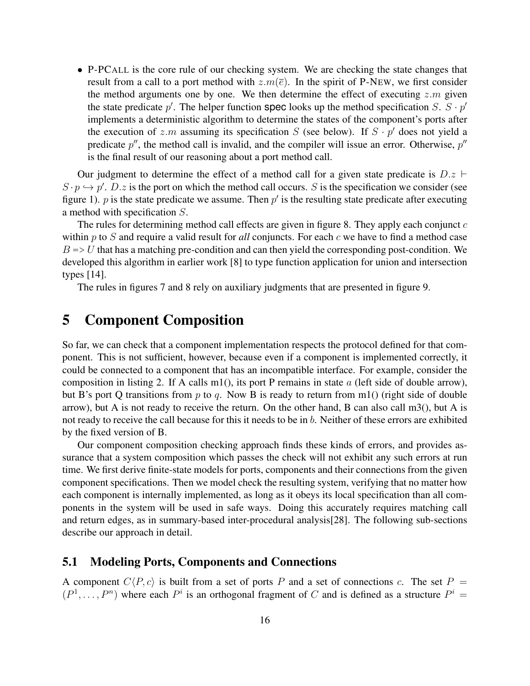• P-PCALL is the core rule of our checking system. We are checking the state changes that result from a call to a port method with  $z.m(\bar{e})$ . In the spirit of P-NEW, we first consider the method arguments one by one. We then determine the effect of executing  $z \, m$  given the state predicate  $p'$ . The helper function spec looks up the method specification S.  $S \cdot p'$ implements a deterministic algorithm to determine the states of the component's ports after the execution of z.m assuming its specification S (see below). If  $S \cdot p'$  does not yield a predicate  $p''$ , the method call is invalid, and the compiler will issue an error. Otherwise,  $p''$ is the final result of our reasoning about a port method call.

Our judgment to determine the effect of a method call for a given state predicate is  $D.z \vdash$  $S \cdot p \hookrightarrow p'.$  D.z is the port on which the method call occurs. S is the specification we consider (see figure [1\)](#page-7-0). p is the state predicate we assume. Then  $p'$  is the resulting state predicate after executing a method with specification S.

The rules for determining method call effects are given in figure [8.](#page-18-0) They apply each conjunct  $c$ within p to S and require a valid result for *all* conjuncts. For each c we have to find a method case  $B \Rightarrow U$  that has a matching pre-condition and can then yield the corresponding post-condition. We developed this algorithm in earlier work [\[8\]](#page-33-4) to type function application for union and intersection types [\[14\]](#page-33-6).

The rules in figures [7](#page-17-0) and [8](#page-18-0) rely on auxiliary judgments that are presented in figure [9.](#page-20-0)

## 5 Component Composition

So far, we can check that a component implementation respects the protocol defined for that component. This is not sufficient, however, because even if a component is implemented correctly, it could be connected to a component that has an incompatible interface. For example, consider the composition in listing [2.](#page-38-0) If A calls m1(), its port P remains in state  $a$  (left side of double arrow), but B's port Q transitions from p to q. Now B is ready to return from m1() (right side of double arrow), but A is not ready to receive the return. On the other hand, B can also call m3(), but A is not ready to receive the call because for this it needs to be in  $b$ . Neither of these errors are exhibited by the fixed version of B.

Our component composition checking approach finds these kinds of errors, and provides assurance that a system composition which passes the check will not exhibit any such errors at run time. We first derive finite-state models for ports, components and their connections from the given component specifications. Then we model check the resulting system, verifying that no matter how each component is internally implemented, as long as it obeys its local specification than all components in the system will be used in safe ways. Doing this accurately requires matching call and return edges, as in summary-based inter-procedural analysis[\[28\]](#page-34-8). The following sub-sections describe our approach in detail.

### 5.1 Modeling Ports, Components and Connections

A component  $C\langle P, c \rangle$  is built from a set of ports P and a set of connections c. The set  $P =$  $(P^1, \ldots, P^n)$  where each  $P^i$  is an orthogonal fragment of C and is defined as a structure  $P^i$  =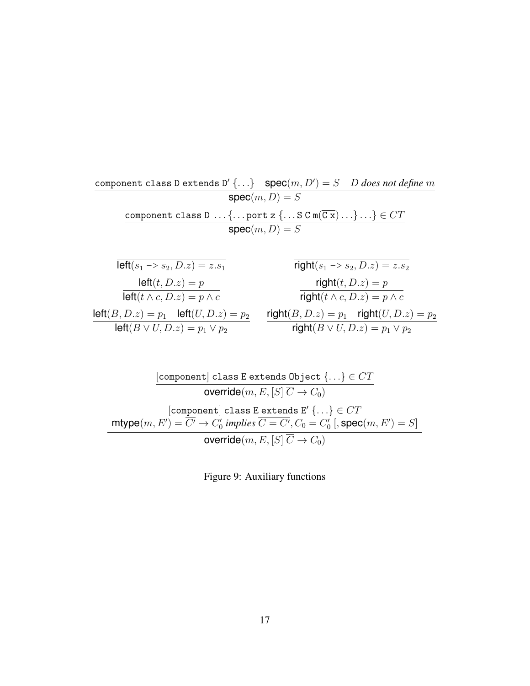component class D extends  $D'$  {...}  $spec(m, D') = S$  D *does not define* m  $\mathsf{spec}(m,D) = S$ component class D ...{...port z  $\{\ldots S C m(\overline{Cx}) \ldots\} \ldots\} \in CT$  $\mathsf{spec}(m,D) = S$  $\overline{\mathsf{left}(s_1 \to s_2, D.z) = z.s_1}$   $\qquad \qquad \overline{\mathsf{right}(s_1 \to s_2, D.z) = z.$ 

| $left(t, D.z\right) = p$                                    |    |  |  |  |  |
|-------------------------------------------------------------|----|--|--|--|--|
| $left(t \wedge c, D.z\right) = p \wedge c$                  |    |  |  |  |  |
| $\mathsf{left}(B, D.z) = p_1$ $\mathsf{left}(U, D.z) = p_2$ | ri |  |  |  |  |
| left( $B \vee U, D.z$ ) = $p_1 \vee p_2$                    |    |  |  |  |  |

$$
right(s_1 \rightarrow s_2, D.z) = z.s_2
$$
\n
$$
right(t, D.z) = p
$$
\n
$$
right(t \land c, D.z) = p \land c
$$
\n
$$
right(B, D.z) = p_1 \quad right(U, D.z) = p_2
$$
\n
$$
right(B \lor U, D.z) = p_1 \lor p_2
$$

<span id="page-20-0"></span>
$$
\cfrac{\lbrack \text{component}\rbrack\text{class E extends Object } \{ \ldots \} \in CT }{\text{override}(m,E,[S]\ \overline{C} \to C_0)}\\[10pt] \lbrack \text{component}\rbrack\text{class E extends E'}\ \{ \ldots \} \in CT \\ \text{mtype}(m,E') = \overline{C'} \to C'_0 \ \text{implies} \ \overline{C = C'}, C_0 = C'_0 \ [ \text{,spec}(m,E') = S ] \\ \text{override}(m,E,[S]\ \overline{C} \to C_0 )\\[10pt]
$$

Figure 9: Auxiliary functions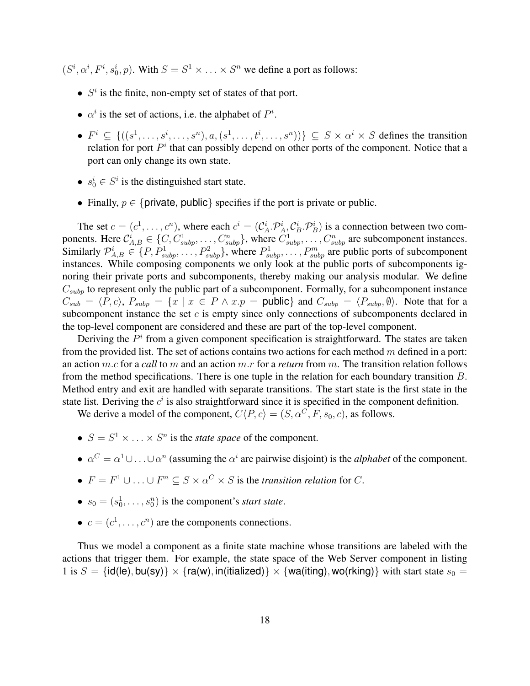$(S^i, \alpha^i, F^i, s_0^i, p)$ . With  $S = S^1 \times \ldots \times S^n$  we define a port as follows:

- $S<sup>i</sup>$  is the finite, non-empty set of states of that port.
- $\alpha^i$  is the set of actions, i.e. the alphabet of  $P^i$ .
- $F^i \subseteq \{((s^1, \ldots, s^i, \ldots, s^n), a, (s^1, \ldots, t^i, \ldots, s^n))\} \subseteq S \times \alpha^i \times S$  defines the transition relation for port  $P^i$  that can possibly depend on other ports of the component. Notice that a port can only change its own state.
- $s_0^i \in S^i$  is the distinguished start state.
- Finally,  $p \in \{$  private, public  $\}$  specifies if the port is private or public.

The set  $c = (c^1, \dots, c^n)$ , where each  $c^i = (\mathcal{C}_A^i \cdot \mathcal{P}_A^i, \mathcal{C}_B^i \cdot \mathcal{P}_B^i)$  is a connection between two components. Here  $\mathcal{C}_{A,B}^i \in \{C, C_{subp}^1, \ldots, C_{subp}^n\}$ , where  $C_{subp}^1, \ldots, C_{subp}^n$  are subcomponent instances. Similarly  $\mathcal{P}_{A,B}^i \in \{P, P_{subp}^1, \ldots, P_{subp}^2\}$ , where  $P_{subp}^1, \ldots, P_{subp}^m$  are public ports of subcomponent instances. While composing components we only look at the public ports of subcomponents ignoring their private ports and subcomponents, thereby making our analysis modular. We define  $C_{subp}$  to represent only the public part of a subcomponent. Formally, for a subcomponent instance  $C_{sub} = \langle P, c \rangle$ ,  $P_{subp} = \{x \mid x \in P \land x.p = \text{public}\}\$  and  $C_{subp} = \langle P_{subp}, \emptyset \rangle$ . Note that for a subcomponent instance the set  $c$  is empty since only connections of subcomponents declared in the top-level component are considered and these are part of the top-level component.

Deriving the  $P<sup>i</sup>$  from a given component specification is straightforward. The states are taken from the provided list. The set of actions contains two actions for each method  $m$  defined in a port: an action m.c for a *call* to m and an action m.r for a *return* from m. The transition relation follows from the method specifications. There is one tuple in the relation for each boundary transition B. Method entry and exit are handled with separate transitions. The start state is the first state in the state list. Deriving the  $c<sup>i</sup>$  is also straightforward since it is specified in the component definition.

We derive a model of the component,  $C\langle P, c \rangle = (S, \alpha^C, F, s_0, c)$ , as follows.

- $S = S^1 \times \ldots \times S^n$  is the *state space* of the component.
- $\alpha^C = \alpha^1 \cup \ldots \cup \alpha^n$  (assuming the  $\alpha^i$  are pairwise disjoint) is the *alphabet* of the component.
- $F = F^1 \cup \ldots \cup F^n \subseteq S \times \alpha^C \times S$  is the *transition relation* for C.
- $s_0 = (s_0^1, \dots, s_0^n)$  is the component's *start state*.
- $c = (c^1, \dots, c^n)$  are the components connections.

Thus we model a component as a finite state machine whose transitions are labeled with the actions that trigger them. For example, the state space of the Web Server component in listing [1](#page-37-0) is  $S = \{id(le), bu(sy)\}\times \{ra(w), in(italized)\}\times \{wa(iting), wo(rking)\}\$  with start state  $s_0 =$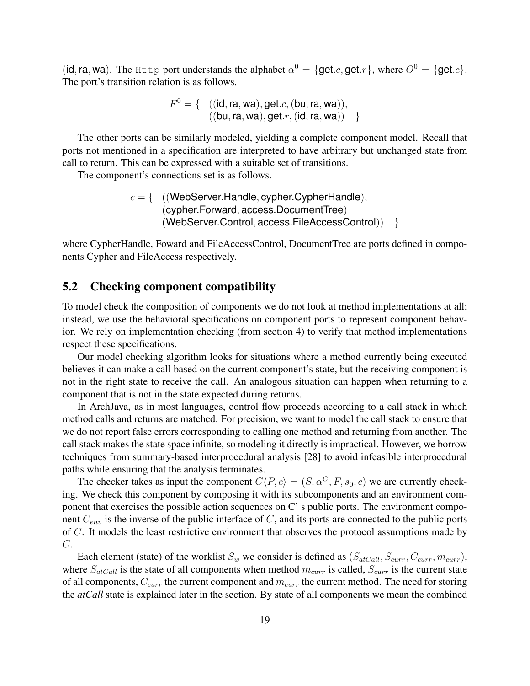(id, ra, wa). The Http port understands the alphabet  $\alpha^0 = \{get.c, get.r\}$ , where  $O^0 = \{get.c\}$ . The port's transition relation is as follows.

$$
F^{0} = \{ (id, ra, wa), get.c, (bu, ra, wa)), ( (bu, ra, wa), get.r, (id, ra, wa) ) \}
$$

The other ports can be similarly modeled, yielding a complete component model. Recall that ports not mentioned in a specification are interpreted to have arbitrary but unchanged state from call to return. This can be expressed with a suitable set of transitions.

The component's connections set is as follows.

 $c = \{$  ((WebServer.Handle, cypher.CypherHandle), (cypher.Forward, access.DocumentTree) (WebServer.Control, access.FileAccessControl)) }

where CypherHandle, Foward and FileAccessControl, DocumentTree are ports defined in components Cypher and FileAccess respectively.

### 5.2 Checking component compatibility

To model check the composition of components we do not look at method implementations at all; instead, we use the behavioral specifications on component ports to represent component behavior. We rely on implementation checking (from section [4\)](#page-15-0) to verify that method implementations respect these specifications.

Our model checking algorithm looks for situations where a method currently being executed believes it can make a call based on the current component's state, but the receiving component is not in the right state to receive the call. An analogous situation can happen when returning to a component that is not in the state expected during returns.

In ArchJava, as in most languages, control flow proceeds according to a call stack in which method calls and returns are matched. For precision, we want to model the call stack to ensure that we do not report false errors corresponding to calling one method and returning from another. The call stack makes the state space infinite, so modeling it directly is impractical. However, we borrow techniques from summary-based interprocedural analysis [\[28\]](#page-34-8) to avoid infeasible interprocedural paths while ensuring that the analysis terminates.

The checker takes as input the component  $C\langle P, c \rangle = (S, \alpha^C, F, s_0, c)$  we are currently checking. We check this component by composing it with its subcomponents and an environment component that exercises the possible action sequences on C' s public ports. The environment component  $C_{env}$  is the inverse of the public interface of C, and its ports are connected to the public ports of  $C$ . It models the least restrictive environment that observes the protocol assumptions made by  $C$ .

Each element (state) of the worklist  $S_w$  we consider is defined as  $(S_{atCall}, S_{curr}, C_{curr}, m_{curr})$ , where  $S_{atCall}$  is the state of all components when method  $m_{curr}$  is called,  $S_{curr}$  is the current state of all components,  $C_{curr}$  the current component and  $m_{curr}$  the current method. The need for storing the *atCall* state is explained later in the section. By state of all components we mean the combined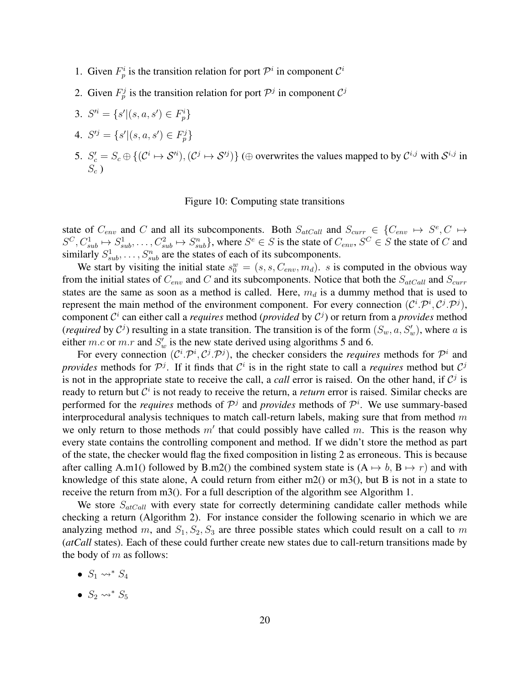- 1. Given  $F_p^i$  is the transition relation for port  $\mathcal{P}^i$  in component  $\mathcal{C}^i$
- 2. Given  $F_p^j$  is the transition relation for port  $\mathcal{P}^j$  in component  $\mathcal{C}^j$
- 3.  $S'^i = \{s' | (s, a, s') \in F_p^i\}$
- 4.  $S'^j = \{s' | (s, a, s') \in F_p^j\}$
- <span id="page-23-0"></span>5.  $S'_c = S_c \oplus \{(\mathcal{C}^i \mapsto \mathcal{S}^{\prime i}), (\mathcal{C}^j \mapsto \mathcal{S}^{\prime j})\}$  ( $\oplus$  overwrites the values mapped to by  $\mathcal{C}^{i,j}$  with  $\mathcal{S}^{i,j}$  in  $S_c$ )

#### Figure 10: Computing state transitions

state of  $C_{env}$  and C and all its subcomponents. Both  $S_{atCall}$  and  $S_{curr} \in \{C_{env} \mapsto S^e, C \mapsto S^e\}$  $S^C, C_{sub}^1 \mapsto S_{sub}^1, \ldots, C_{sub}^2 \mapsto S_{sub}^n$ , where  $S^e \in S$  is the state of  $C_{env}, S^C \in S$  the state of  $C$  and similarly  $S_{sub}^1, \ldots, S_{sub}^n$  are the states of each of its subcomponents.

We start by visiting the initial state  $s_0^w = (s, s, C_{env}, m_d)$ . s is computed in the obvious way from the initial states of  $C_{env}$  and  $C$  and its subcomponents. Notice that both the  $S_{atCall}$  and  $S_{curr}$ states are the same as soon as a method is called. Here,  $m_d$  is a dummy method that is used to represent the main method of the environment component. For every connection  $(C^i \tmathcal{P}^i, C^j \tmathcal{P}^j)$ , component  $\mathcal{C}^i$  can either call a *requires* method (*provided* by  $\mathcal{C}^j$ ) or return from a *provides* method (*required* by  $C^j$ ) resulting in a state transition. The transition is of the form  $(S_w, a, S'_w)$ , where a is either m.c or m.r and  $S'_w$  is the new state derived using algorithms [5](#page-27-0) and [6.](#page-27-1)

For every connection  $(C^i \t{.} \mathcal{P}^i, C^j \t{.} \mathcal{P}^j)$ , the checker considers the *requires* methods for  $\mathcal{P}^i$  and *provides* methods for  $\mathcal{P}^j$ . If it finds that  $\mathcal{C}^i$  is in the right state to call a *requires* method but  $\mathcal{C}^j$ is not in the appropriate state to receive the call, a *call* error is raised. On the other hand, if  $C<sup>j</sup>$  is ready to return but  $\mathcal{C}^i$  is not ready to receive the return, a *return* error is raised. Similar checks are performed for the *requires* methods of  $\mathcal{P}^j$  and *provides* methods of  $\mathcal{P}^i$ . We use summary-based interprocedural analysis techniques to match call-return labels, making sure that from method  $m$ we only return to those methods  $m'$  that could possibly have called m. This is the reason why every state contains the controlling component and method. If we didn't store the method as part of the state, the checker would flag the fixed composition in listing [2](#page-38-0) as erroneous. This is because after calling A.m1() followed by B.m2() the combined system state is  $(A \rightarrow b, B \rightarrow r)$  and with knowledge of this state alone, A could return from either  $m2()$  or  $m3()$ , but B is not in a state to receive the return from m3(). For a full description of the algorithm see Algorithm [1.](#page-25-0)

We store  $S_{atCall}$  with every state for correctly determining candidate caller methods while checking a return (Algorithm [2\)](#page-26-0). For instance consider the following scenario in which we are analyzing method m, and  $S_1, S_2, S_3$  are three possible states which could result on a call to m (*atCall* states). Each of these could further create new states due to call-return transitions made by the body of  $m$  as follows:

- $S_1 \rightsquigarrow^* S_4$
- $S_2 \rightsquigarrow^* S_5$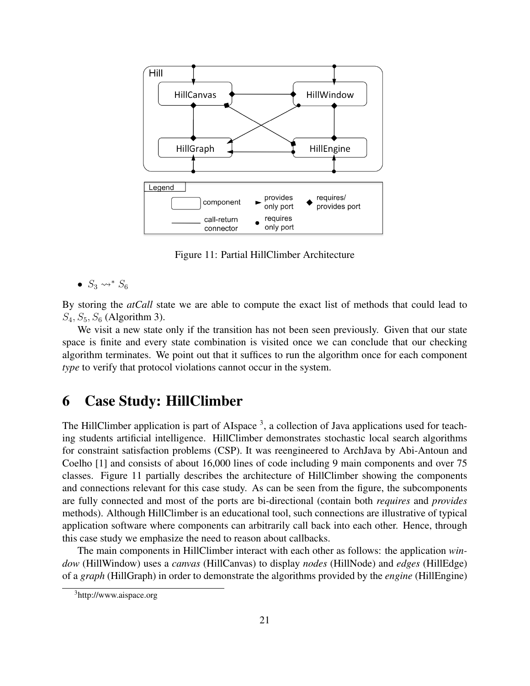

<span id="page-24-0"></span>Figure 11: Partial HillClimber Architecture

$$
\bullet \ \ S_3 \leadsto^* S_6
$$

By storing the *atCall* state we are able to compute the exact list of methods that could lead to  $S_4$ ,  $S_5$ ,  $S_6$  (Algorithm [3\)](#page-26-1).

We visit a new state only if the transition has not been seen previously. Given that our state space is finite and every state combination is visited once we can conclude that our checking algorithm terminates. We point out that it suffices to run the algorithm once for each component *type* to verify that protocol violations cannot occur in the system.

## 6 Case Study: HillClimber

The HillClimber application is part of AIspace  $3$ , a collection of Java applications used for teaching students artificial intelligence. HillClimber demonstrates stochastic local search algorithms for constraint satisfaction problems (CSP). It was reengineered to ArchJava by Abi-Antoun and Coelho [\[1\]](#page-32-4) and consists of about 16,000 lines of code including 9 main components and over 75 classes. Figure [11](#page-24-0) partially describes the architecture of HillClimber showing the components and connections relevant for this case study. As can be seen from the figure, the subcomponents are fully connected and most of the ports are bi-directional (contain both *requires* and *provides* methods). Although HillClimber is an educational tool, such connections are illustrative of typical application software where components can arbitrarily call back into each other. Hence, through this case study we emphasize the need to reason about callbacks.

The main components in HillClimber interact with each other as follows: the application *window* (HillWindow) uses a *canvas* (HillCanvas) to display *nodes* (HillNode) and *edges* (HillEdge) of a *graph* (HillGraph) in order to demonstrate the algorithms provided by the *engine* (HillEngine)

<sup>3</sup>http://www.aispace.org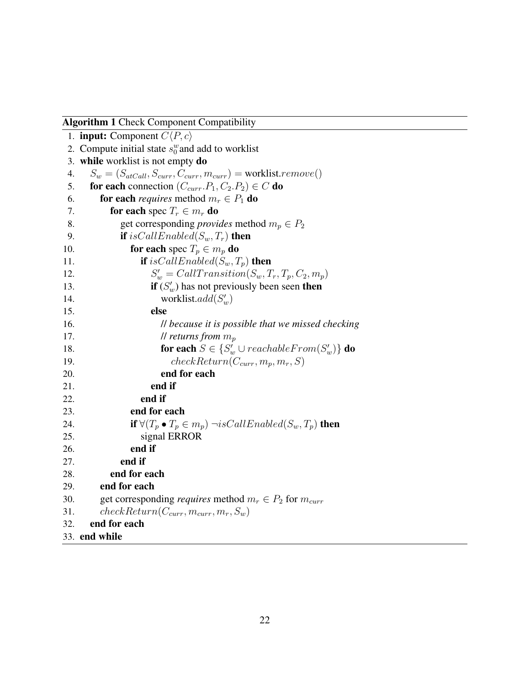Algorithm 1 Check Component Compatibility

<span id="page-25-0"></span>

|     | 1. <b>input:</b> Component $C(P, c)$                                             |
|-----|----------------------------------------------------------------------------------|
|     | 2. Compute initial state $s_0^w$ and add to worklist                             |
| 3.  | while worklist is not empty do                                                   |
| 4.  | $S_w = (S_{atCall}, S_{curr}, C_{curr}, m_{curr})$ = worklist.remove()           |
| 5.  | for each connection $(C_{curr}.P_1, C_2.P_2) \in C$ do                           |
| 6.  | for each <i>requires</i> method $m_r \in P_1$ do                                 |
| 7.  | for each spec $T_r \in m_r$ do                                                   |
| 8.  | get corresponding <i>provides</i> method $m_p \in P_2$                           |
| 9.  | <b>if</b> is Call Enabled( $S_w, T_r$ ) <b>then</b>                              |
| 10. | for each spec $T_p \in m_p$ do                                                   |
| 11. | <b>if</b> is Call Enabled( $S_w, T_p$ ) <b>then</b>                              |
| 12. | $S'_w = CallTransition(S_w, T_r, T_p, C_2, m_p)$                                 |
| 13. | if $(S'_w)$ has not previously been seen then                                    |
| 14. | worklist.add $(S'_w)$                                                            |
| 15. | else                                                                             |
| 16. | Il because it is possible that we missed checking                                |
| 17. | <i>ll returns from</i> $m_p$                                                     |
| 18. | <b>for each</b> $S \in \{S'_w \cup reachableFrom(S'_w)\}\$ <b>do</b>             |
| 19. | $checkReturn(C_{curr}, m_p, m_r, S)$                                             |
| 20. | end for each                                                                     |
| 21. | end if                                                                           |
| 22. | end if                                                                           |
| 23. | end for each                                                                     |
| 24. | <b>if</b> $\forall (T_p \bullet T_p \in m_p) \neg isCallEnabeled(S_w, T_p)$ then |
| 25. | signal ERROR                                                                     |
| 26. | end if                                                                           |
| 27. | end if                                                                           |
| 28. | end for each                                                                     |
| 29. | end for each                                                                     |
| 30. | get corresponding <i>requires</i> method $m_r \in P_2$ for $m_{curr}$            |
| 31. | $checkReturn(C_{curr}, m_{curr}, m_r, S_w)$                                      |
| 32. | end for each                                                                     |
|     | 33. end while                                                                    |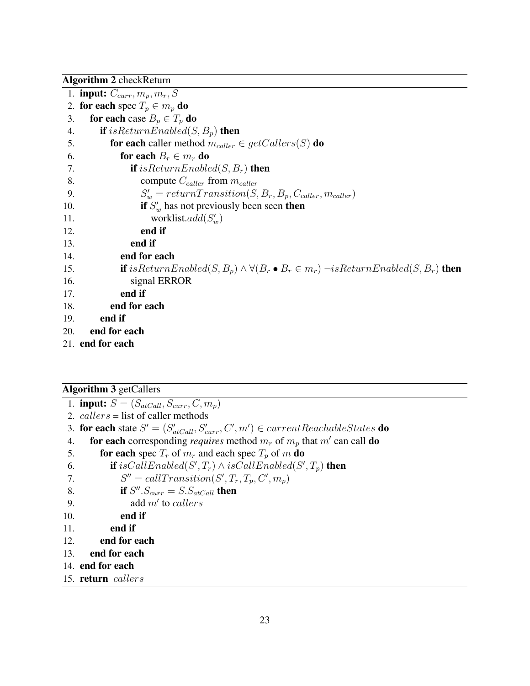Algorithm 2 checkReturn

<span id="page-26-0"></span>

|     | 1. <b>input:</b> $C_{curr}, m_p, m_r, S$                                                                             |
|-----|----------------------------------------------------------------------------------------------------------------------|
|     | 2. for each spec $T_p \in m_p$ do                                                                                    |
| 3.  | for each case $B_p \in T_p$ do                                                                                       |
| 4.  | <b>if</b> is Return Enabled(S, $B_p$ ) <b>then</b>                                                                   |
| 5.  | <b>for each</b> caller method $m_{\text{caller}} \in \text{getCallers}(S)$ <b>do</b>                                 |
| 6.  | for each $B_r \in m_r$ do                                                                                            |
| 7.  | <b>if</b> is Return Enabled(S, $B_r$ ) <b>then</b>                                                                   |
| 8.  | compute $C_{\text{caller}}$ from $m_{\text{caller}}$                                                                 |
| 9.  | $S'_{w} = return Transition(S, B_{r}, B_{p}, C_{\text{caller}}, m_{\text{caller}})$                                  |
| 10. | if $S'_{w}$ has not previously been seen then                                                                        |
| 11. | worklist.add $(S'_w)$                                                                                                |
| 12. | end if                                                                                                               |
| 13. | end if                                                                                                               |
| 14. | end for each                                                                                                         |
| 15. | <b>if</b> is Return Enabled(S, $B_p$ ) $\land \forall (B_r \bullet B_r \in m_r) \neg is ReturnEnabeled(S, B_r)$ then |
| 16. | signal ERROR                                                                                                         |
| 17. | end if                                                                                                               |
| 18. | end for each                                                                                                         |
| 19. | end if                                                                                                               |
| 20. | end for each                                                                                                         |
|     | 21. end for each                                                                                                     |
|     |                                                                                                                      |

### Algorithm 3 getCallers

```
1. input: S = (S_{atCall}, S_{curr}, C, m_p)
```
- 2.  $calers =$  list of caller methods
- 3. for each state  $S' = (S'_{atCall}, S'_{curr}, C', m') \in currentReachableStates$  do
- 4. **for each** corresponding *requires* method  $m_r$  of  $m_p$  that  $m'$  can call **do** 5. for each spec  $T_r$  of  $m_r$  and each spec  $T_p$  of m do
- 
- 6. **if** isCallEnabled(S',  $T_r$ )  $\wedge$  isCallEnabled(S',  $T_p$ ) **then**
- 7.  $S'' = call Transition(S', T_r, T_p, C', m_p)$

```
8. if S''.S_{curr} = S.S_{atCall} then
```
- 9. add  $m'$  to *callers*
- 10. end if
- 11. end if
- 12. end for each
- 13. end for each
- 14. end for each

```
15. return callers
```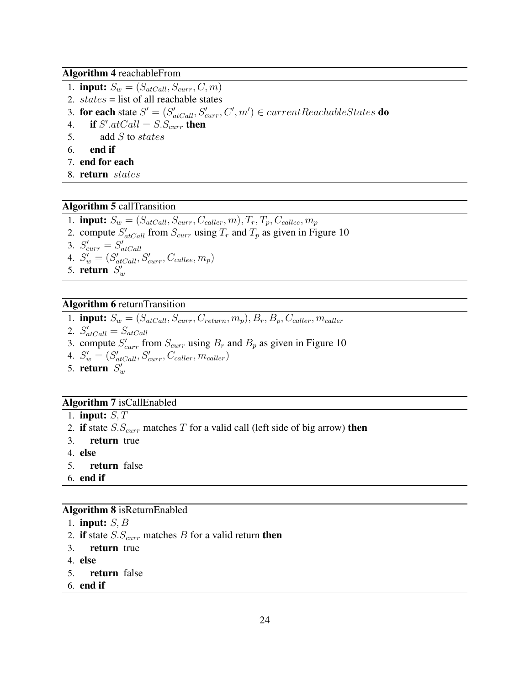Algorithm 4 reachableFrom

- 1. **input:**  $S_w = (S_{atCall}, S_{curr}, C, m)$
- 2.  $states =$  list of all reachable states
- 3. for each state  $S' = (S'_{atCall}, S'_{curr}, C', m') \in currentReachableStates$  do
- 4. if  $S'.atCall = S.S_{curr}$  then
- 5. add S to states
- 6. end if
- 7. end for each
- 8. return states

#### Algorithm 5 callTransition

- <span id="page-27-0"></span>1. **input:**  $S_w = (S_{atCall}, S_{curr}, C_{caller}, m), T_r, T_p, C_{called}, m_p)$
- 2. compute  $S'_{atCall}$  from  $S_{curr}$  using  $T_r$  and  $T_p$  as given in Figure [10](#page-23-0)
- 3.  $S'_{curr} = S'_{atCall}$
- 4.  $S'_w = (S'_{atCall}, S'_{curr}, C_{callee}, m_p)$
- 5. return  $S'_w$

#### Algorithm 6 returnTransition

- <span id="page-27-1"></span>1. **input:**  $S_w = (S_{atCall}, S_{curr}, C_{return}, m_p), B_r, B_p, C_{ caller}, m_{ caller}$
- 2.  $S'_{atCall} = S_{atCall}$
- 3. compute  $S'_{curr}$  from  $S_{curr}$  using  $B_r$  and  $B_p$  as given in Figure [10](#page-23-0)
- 4.  $S'_{w} = (S'_{atCall}, S'_{curr}, C_{caller}, m_{caller})$
- 5. return  $S'_w$

#### Algorithm 7 isCallEnabled

- 1. input:  $S, T$
- 2. if state  $S.S_{curr}$  matches T for a valid call (left side of big arrow) then
- 3. return true
- 4. else
- 5. return false
- 6. end if

#### Algorithm 8 isReturnEnabled

- 1. input:  $S, \overline{B}$
- 2. if state  $S.S_{curr}$  matches B for a valid return then
- 3. return true
- 4. else
- 5. return false
- 6. end if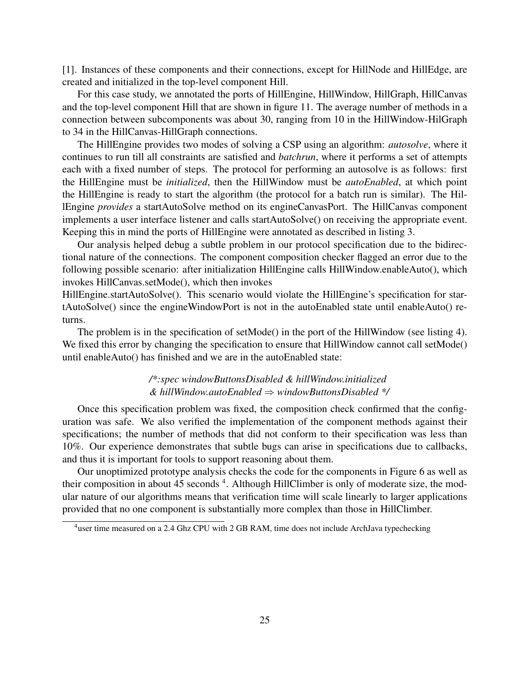[\[1\]](#page-32-4). Instances of these components and their connections, except for HillNode and HillEdge, are created and initialized in the top-level component Hill.

For this case study, we annotated the ports of HillEngine, HillWindow, HillGraph, HillCanvas and the top-level component Hill that are shown in figure [11.](#page-24-0) The average number of methods in a connection between subcomponents was about 30, ranging from 10 in the HillWindow-HilGraph to 34 in the HillCanvas-HillGraph connections.

The HillEngine provides two modes of solving a CSP using an algorithm: *autosolve*, where it continues to run till all constraints are satisfied and *batchrun*, where it performs a set of attempts each with a fixed number of steps. The protocol for performing an autosolve is as follows: first the HillEngine must be *initialized*, then the HillWindow must be *autoEnabled*, at which point the HillEngine is ready to start the algorithm (the protocol for a batch run is similar). The HillEngine *provides* a startAutoSolve method on its engineCanvasPort. The HillCanvas component implements a user interface listener and calls startAutoSolve() on receiving the appropriate event. Keeping this in mind the ports of HillEngine were annotated as described in listing [3.](#page-39-0)

Our analysis helped debug a subtle problem in our protocol specification due to the bidirectional nature of the connections. The component composition checker flagged an error due to the following possible scenario: after initialization HillEngine calls HillWindow.enableAuto(), which invokes HillCanvas.setMode(), which then invokes

HillEngine.startAutoSolve(). This scenario would violate the HillEngine's specification for startAutoSolve() since the engineWindowPort is not in the autoEnabled state until enableAuto() returns.

The problem is in the specification of setMode() in the port of the HillWindow (see listing [4\)](#page-39-1). We fixed this error by changing the specification to ensure that HillWindow cannot call setMode() until enableAuto() has finished and we are in the autoEnabled state:

#### */\*:spec windowButtonsDisabled & hillWindow.initialized & hillWindow.autoEnabled* ⇒ *windowButtonsDisabled \*/*

Once this specification problem was fixed, the composition check confirmed that the configuration was safe. We also verified the implementation of the component methods against their specifications; the number of methods that did not conform to their specification was less than 10%. Our experience demonstrates that subtle bugs can arise in specifications due to callbacks, and thus it is important for tools to support reasoning about them.

Our unoptimized prototype analysis checks the code for the components in Figure 6 as well as their composition in about 45 seconds <sup>4</sup>. Although HillClimber is only of moderate size, the modular nature of our algorithms means that verification time will scale linearly to larger applications provided that no one component is substantially more complex than those in HillClimber.

<sup>&</sup>lt;sup>4</sup>user time measured on a 2.4 Ghz CPU with 2 GB RAM, time does not include ArchJava typechecking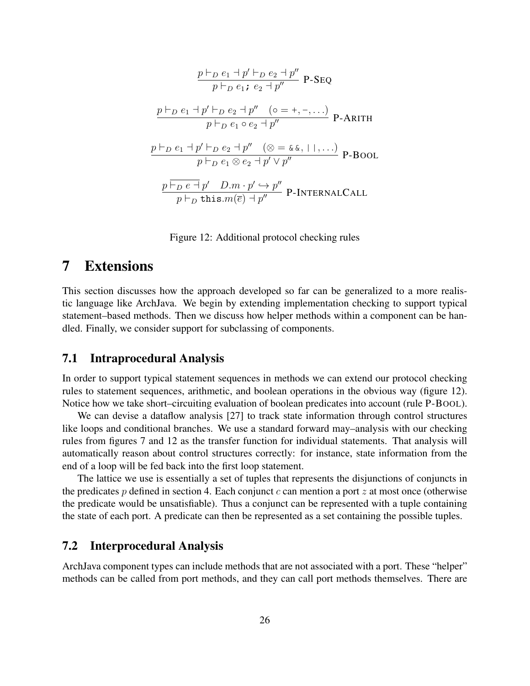$$
\frac{p \vdash_D e_1 + p' \vdash_D e_2 + p''}{p \vdash_D e_1; e_2 + p''} \text{ P-Seq}
$$
\n
$$
\frac{p \vdash_D e_1 + p' \vdash_D e_2 + p'' \quad (\circ = +, -, ...)}{p \vdash_D e_1 \circ e_2 + p''} \text{ P-ARITH}
$$
\n
$$
\frac{p \vdash_D e_1 + p' \vdash_D e_2 + p'' \quad (\otimes = \& \& , | \cdot |, ...)}{p \vdash_D e_1 \otimes e_2 + p' \vee p''} \text{ P-BOOL}
$$
\n
$$
\frac{p \vdash_D e \vdash p' \quad D.m \cdot p' \hookrightarrow p''}{p \vdash_D \text{ this.m}(\overline{e}) + p''} \text{ P-INTERNALCAL}
$$

Figure 12: Additional protocol checking rules

## <span id="page-29-0"></span>7 Extensions

This section discusses how the approach developed so far can be generalized to a more realistic language like ArchJava. We begin by extending implementation checking to support typical statement–based methods. Then we discuss how helper methods within a component can be handled. Finally, we consider support for subclassing of components.

### 7.1 Intraprocedural Analysis

In order to support typical statement sequences in methods we can extend our protocol checking rules to statement sequences, arithmetic, and boolean operations in the obvious way (figure [12\)](#page-29-0). Notice how we take short–circuiting evaluation of boolean predicates into account (rule P-BOOL).

We can devise a dataflow analysis [\[27\]](#page-34-9) to track state information through control structures like loops and conditional branches. We use a standard forward may–analysis with our checking rules from figures [7](#page-17-0) and [12](#page-29-0) as the transfer function for individual statements. That analysis will automatically reason about control structures correctly: for instance, state information from the end of a loop will be fed back into the first loop statement.

The lattice we use is essentially a set of tuples that represents the disjunctions of conjuncts in the predicates p defined in section [4.](#page-15-0) Each conjunct c can mention a port z at most once (otherwise the predicate would be unsatisfiable). Thus a conjunct can be represented with a tuple containing the state of each port. A predicate can then be represented as a set containing the possible tuples.

### 7.2 Interprocedural Analysis

ArchJava component types can include methods that are not associated with a port. These "helper" methods can be called from port methods, and they can call port methods themselves. There are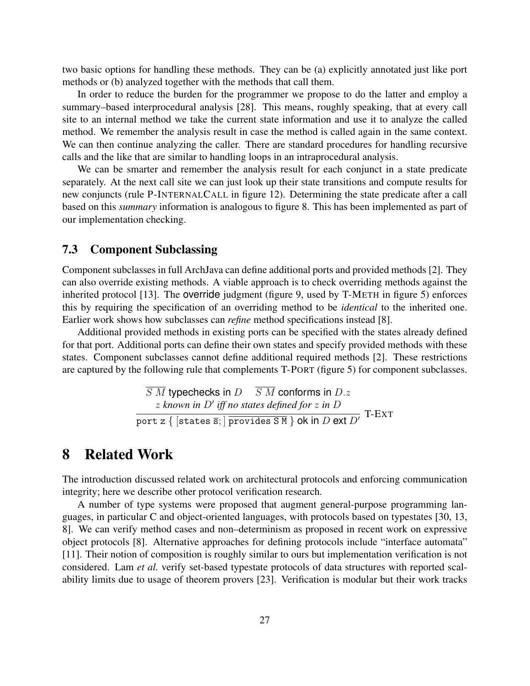two basic options for handling these methods. They can be (a) explicitly annotated just like port methods or (b) analyzed together with the methods that call them.

In order to reduce the burden for the programmer we propose to do the latter and employ a summary–based interprocedural analysis [\[28\]](#page-34-8). This means, roughly speaking, that at every call site to an internal method we take the current state information and use it to analyze the called method. We remember the analysis result in case the method is called again in the same context. We can then continue analyzing the caller. There are standard procedures for handling recursive calls and the like that are similar to handling loops in an intraprocedural analysis.

We can be smarter and remember the analysis result for each conjunct in a state predicate separately. At the next call site we can just look up their state transitions and compute results for new conjuncts (rule P-INTERNALCALL in figure [12\)](#page-29-0). Determining the state predicate after a call based on this *summary* information is analogous to figure [8.](#page-18-0) This has been implemented as part of our implementation checking.

### <span id="page-30-0"></span>7.3 Component Subclassing

Component subclasses in full ArchJava can define additional ports and provided methods [\[2\]](#page-32-1). They can also override existing methods. A viable approach is to check overriding methods against the inherited protocol [\[13\]](#page-33-2). The override judgment (figure [9,](#page-20-0) used by T-METH in figure [5\)](#page-14-0) enforces this by requiring the specification of an overriding method to be *identical* to the inherited one. Earlier work shows how subclasses can *refine* method specifications instead [\[8\]](#page-33-4).

Additional provided methods in existing ports can be specified with the states already defined for that port. Additional ports can define their own states and specify provided methods with these states. Component subclasses cannot define additional required methods [\[2\]](#page-32-1). These restrictions are captured by the following rule that complements T-PORT (figure [5\)](#page-14-0) for component subclasses.

> $\overline{S\ M}$  typechecks in  $D$   $\overline{S\ M}$  conforms in  $D.z$  $z$  known in  $D'$  iff no states defined for  $z$  in  $D$ port z  $\{$  [states  $\overline{s}$ ; ] provides  $S M$  } ok in D ext D' T-EXT

## 8 Related Work

The introduction discussed related work on architectural protocols and enforcing communication integrity; here we describe other protocol verification research.

A number of type systems were proposed that augment general-purpose programming languages, in particular C and object-oriented languages, with protocols based on typestates [\[30,](#page-34-3) [13,](#page-33-2) [8\]](#page-33-4). We can verify method cases and non–determinism as proposed in recent work on expressive object protocols [\[8\]](#page-33-4). Alternative approaches for defining protocols include "interface automata" [\[11\]](#page-33-7). Their notion of composition is roughly similar to ours but implementation verification is not considered. Lam *et al.* verify set-based typestate protocols of data structures with reported scalability limits due to usage of theorem provers [\[23\]](#page-34-10). Verification is modular but their work tracks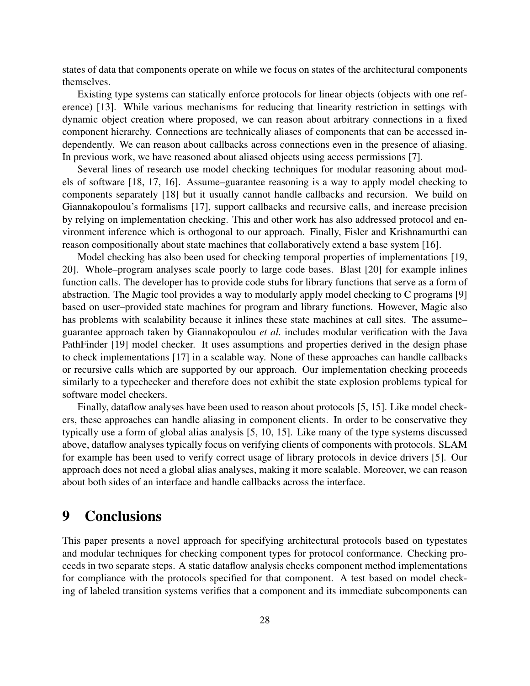states of data that components operate on while we focus on states of the architectural components themselves.

Existing type systems can statically enforce protocols for linear objects (objects with one reference) [\[13\]](#page-33-2). While various mechanisms for reducing that linearity restriction in settings with dynamic object creation where proposed, we can reason about arbitrary connections in a fixed component hierarchy. Connections are technically aliases of components that can be accessed independently. We can reason about callbacks across connections even in the presence of aliasing. In previous work, we have reasoned about aliased objects using access permissions [\[7\]](#page-33-8).

Several lines of research use model checking techniques for modular reasoning about models of software [\[18,](#page-33-9) [17,](#page-33-10) [16\]](#page-33-11). Assume–guarantee reasoning is a way to apply model checking to components separately [\[18\]](#page-33-9) but it usually cannot handle callbacks and recursion. We build on Giannakopoulou's formalisms [\[17\]](#page-33-10), support callbacks and recursive calls, and increase precision by relying on implementation checking. This and other work has also addressed protocol and environment inference which is orthogonal to our approach. Finally, Fisler and Krishnamurthi can reason compositionally about state machines that collaboratively extend a base system [\[16\]](#page-33-11).

Model checking has also been used for checking temporal properties of implementations [\[19,](#page-33-1) [20\]](#page-34-11). Whole–program analyses scale poorly to large code bases. Blast [\[20\]](#page-34-11) for example inlines function calls. The developer has to provide code stubs for library functions that serve as a form of abstraction. The Magic tool provides a way to modularly apply model checking to C programs [\[9\]](#page-33-3) based on user–provided state machines for program and library functions. However, Magic also has problems with scalability because it inlines these state machines at call sites. The assume– guarantee approach taken by Giannakopoulou *et al.* includes modular verification with the Java PathFinder [\[19\]](#page-33-1) model checker. It uses assumptions and properties derived in the design phase to check implementations [\[17\]](#page-33-10) in a scalable way. None of these approaches can handle callbacks or recursive calls which are supported by our approach. Our implementation checking proceeds similarly to a typechecker and therefore does not exhibit the state explosion problems typical for software model checkers.

Finally, dataflow analyses have been used to reason about protocols [\[5,](#page-32-5) [15\]](#page-33-0). Like model checkers, these approaches can handle aliasing in component clients. In order to be conservative they typically use a form of global alias analysis [\[5,](#page-32-5) [10,](#page-33-12) [15\]](#page-33-0). Like many of the type systems discussed above, dataflow analyses typically focus on verifying clients of components with protocols. SLAM for example has been used to verify correct usage of library protocols in device drivers [\[5\]](#page-32-5). Our approach does not need a global alias analyses, making it more scalable. Moreover, we can reason about both sides of an interface and handle callbacks across the interface.

## 9 Conclusions

This paper presents a novel approach for specifying architectural protocols based on typestates and modular techniques for checking component types for protocol conformance. Checking proceeds in two separate steps. A static dataflow analysis checks component method implementations for compliance with the protocols specified for that component. A test based on model checking of labeled transition systems verifies that a component and its immediate subcomponents can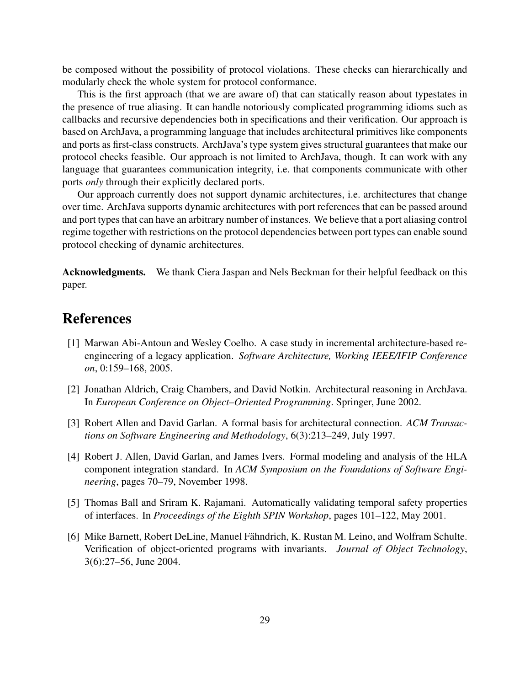be composed without the possibility of protocol violations. These checks can hierarchically and modularly check the whole system for protocol conformance.

This is the first approach (that we are aware of) that can statically reason about typestates in the presence of true aliasing. It can handle notoriously complicated programming idioms such as callbacks and recursive dependencies both in specifications and their verification. Our approach is based on ArchJava, a programming language that includes architectural primitives like components and ports as first-class constructs. ArchJava's type system gives structural guarantees that make our protocol checks feasible. Our approach is not limited to ArchJava, though. It can work with any language that guarantees communication integrity, i.e. that components communicate with other ports *only* through their explicitly declared ports.

Our approach currently does not support dynamic architectures, i.e. architectures that change over time. ArchJava supports dynamic architectures with port references that can be passed around and port types that can have an arbitrary number of instances. We believe that a port aliasing control regime together with restrictions on the protocol dependencies between port types can enable sound protocol checking of dynamic architectures.

Acknowledgments. We thank Ciera Jaspan and Nels Beckman for their helpful feedback on this paper.

## References

- <span id="page-32-4"></span>[1] Marwan Abi-Antoun and Wesley Coelho. A case study in incremental architecture-based reengineering of a legacy application. *Software Architecture, Working IEEE/IFIP Conference on*, 0:159–168, 2005.
- <span id="page-32-1"></span>[2] Jonathan Aldrich, Craig Chambers, and David Notkin. Architectural reasoning in ArchJava. In *European Conference on Object–Oriented Programming*. Springer, June 2002.
- <span id="page-32-0"></span>[3] Robert Allen and David Garlan. A formal basis for architectural connection. *ACM Transactions on Software Engineering and Methodology*, 6(3):213–249, July 1997.
- <span id="page-32-2"></span>[4] Robert J. Allen, David Garlan, and James Ivers. Formal modeling and analysis of the HLA component integration standard. In *ACM Symposium on the Foundations of Software Engineering*, pages 70–79, November 1998.
- <span id="page-32-5"></span>[5] Thomas Ball and Sriram K. Rajamani. Automatically validating temporal safety properties of interfaces. In *Proceedings of the Eighth SPIN Workshop*, pages 101–122, May 2001.
- <span id="page-32-3"></span>[6] Mike Barnett, Robert DeLine, Manuel Fähndrich, K. Rustan M. Leino, and Wolfram Schulte. Verification of object-oriented programs with invariants. *Journal of Object Technology*, 3(6):27–56, June 2004.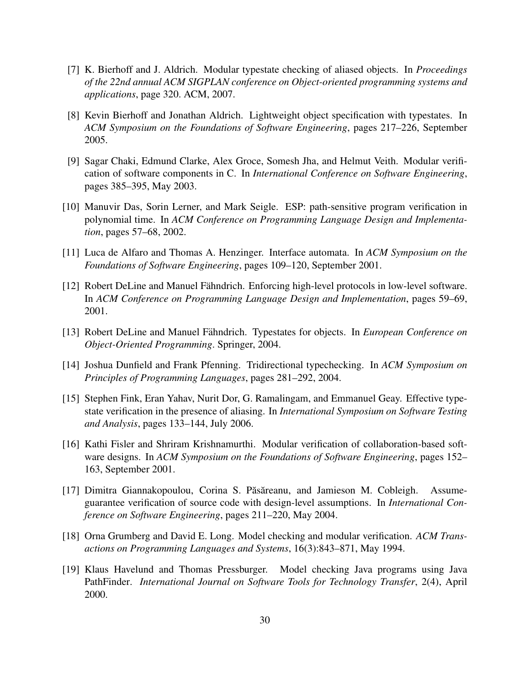- <span id="page-33-8"></span>[7] K. Bierhoff and J. Aldrich. Modular typestate checking of aliased objects. In *Proceedings of the 22nd annual ACM SIGPLAN conference on Object-oriented programming systems and applications*, page 320. ACM, 2007.
- <span id="page-33-4"></span>[8] Kevin Bierhoff and Jonathan Aldrich. Lightweight object specification with typestates. In *ACM Symposium on the Foundations of Software Engineering*, pages 217–226, September 2005.
- <span id="page-33-3"></span>[9] Sagar Chaki, Edmund Clarke, Alex Groce, Somesh Jha, and Helmut Veith. Modular verification of software components in C. In *International Conference on Software Engineering*, pages 385–395, May 2003.
- <span id="page-33-12"></span>[10] Manuvir Das, Sorin Lerner, and Mark Seigle. ESP: path-sensitive program verification in polynomial time. In *ACM Conference on Programming Language Design and Implementation*, pages 57–68, 2002.
- <span id="page-33-7"></span>[11] Luca de Alfaro and Thomas A. Henzinger. Interface automata. In *ACM Symposium on the Foundations of Software Engineering*, pages 109–120, September 2001.
- <span id="page-33-5"></span>[12] Robert DeLine and Manuel Fähndrich. Enforcing high-level protocols in low-level software. In *ACM Conference on Programming Language Design and Implementation*, pages 59–69, 2001.
- <span id="page-33-2"></span>[13] Robert DeLine and Manuel Fähndrich. Typestates for objects. In *European Conference on Object-Oriented Programming*. Springer, 2004.
- <span id="page-33-6"></span>[14] Joshua Dunfield and Frank Pfenning. Tridirectional typechecking. In *ACM Symposium on Principles of Programming Languages*, pages 281–292, 2004.
- <span id="page-33-0"></span>[15] Stephen Fink, Eran Yahav, Nurit Dor, G. Ramalingam, and Emmanuel Geay. Effective typestate verification in the presence of aliasing. In *International Symposium on Software Testing and Analysis*, pages 133–144, July 2006.
- <span id="page-33-11"></span>[16] Kathi Fisler and Shriram Krishnamurthi. Modular verification of collaboration-based software designs. In *ACM Symposium on the Foundations of Software Engineering*, pages 152– 163, September 2001.
- <span id="page-33-10"></span>[17] Dimitra Giannakopoulou, Corina S. Păsăreanu, and Jamieson M. Cobleigh. Assumeguarantee verification of source code with design-level assumptions. In *International Conference on Software Engineering*, pages 211–220, May 2004.
- <span id="page-33-9"></span>[18] Orna Grumberg and David E. Long. Model checking and modular verification. *ACM Transactions on Programming Languages and Systems*, 16(3):843–871, May 1994.
- <span id="page-33-1"></span>[19] Klaus Havelund and Thomas Pressburger. Model checking Java programs using Java PathFinder. *International Journal on Software Tools for Technology Transfer*, 2(4), April 2000.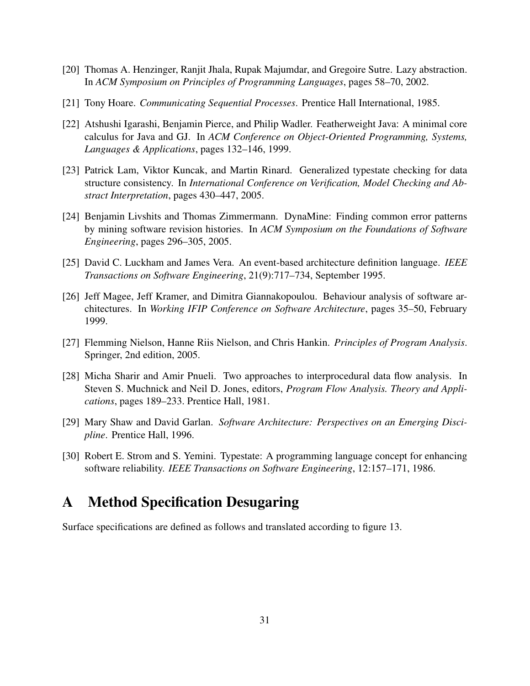- <span id="page-34-11"></span>[20] Thomas A. Henzinger, Ranjit Jhala, Rupak Majumdar, and Gregoire Sutre. Lazy abstraction. In *ACM Symposium on Principles of Programming Languages*, pages 58–70, 2002.
- <span id="page-34-5"></span>[21] Tony Hoare. *Communicating Sequential Processes*. Prentice Hall International, 1985.
- <span id="page-34-7"></span>[22] Atshushi Igarashi, Benjamin Pierce, and Philip Wadler. Featherweight Java: A minimal core calculus for Java and GJ. In *ACM Conference on Object-Oriented Programming, Systems, Languages & Applications*, pages 132–146, 1999.
- <span id="page-34-10"></span>[23] Patrick Lam, Viktor Kuncak, and Martin Rinard. Generalized typestate checking for data structure consistency. In *International Conference on Verification, Model Checking and Abstract Interpretation*, pages 430–447, 2005.
- <span id="page-34-4"></span>[24] Benjamin Livshits and Thomas Zimmermann. DynaMine: Finding common error patterns by mining software revision histories. In *ACM Symposium on the Foundations of Software Engineering*, pages 296–305, 2005.
- <span id="page-34-1"></span>[25] David C. Luckham and James Vera. An event-based architecture definition language. *IEEE Transactions on Software Engineering*, 21(9):717–734, September 1995.
- <span id="page-34-2"></span>[26] Jeff Magee, Jeff Kramer, and Dimitra Giannakopoulou. Behaviour analysis of software architectures. In *Working IFIP Conference on Software Architecture*, pages 35–50, February 1999.
- <span id="page-34-9"></span>[27] Flemming Nielson, Hanne Riis Nielson, and Chris Hankin. *Principles of Program Analysis*. Springer, 2nd edition, 2005.
- <span id="page-34-8"></span>[28] Micha Sharir and Amir Pnueli. Two approaches to interprocedural data flow analysis. In Steven S. Muchnick and Neil D. Jones, editors, *Program Flow Analysis. Theory and Applications*, pages 189–233. Prentice Hall, 1981.
- <span id="page-34-0"></span>[29] Mary Shaw and David Garlan. *Software Architecture: Perspectives on an Emerging Discipline*. Prentice Hall, 1996.
- <span id="page-34-3"></span>[30] Robert E. Strom and S. Yemini. Typestate: A programming language concept for enhancing software reliability. *IEEE Transactions on Software Engineering*, 12:157–171, 1986.

## <span id="page-34-6"></span>A Method Specification Desugaring

Surface specifications are defined as follows and translated according to figure [13.](#page-36-0)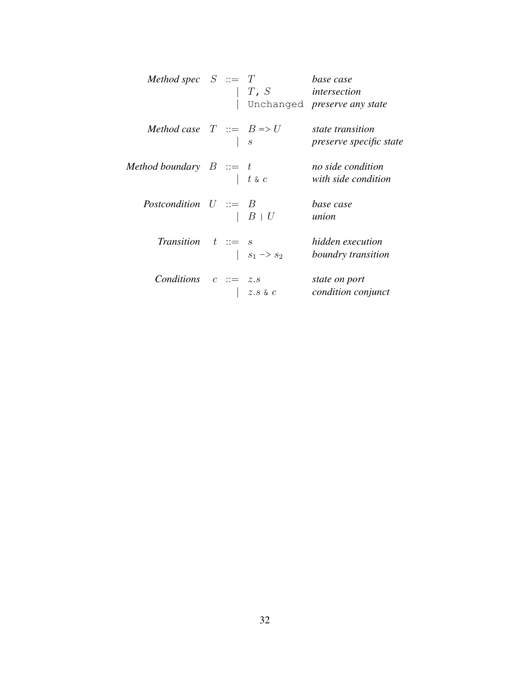| Method spec $S ::= T$               |  | $T$ , S                  | base case<br>intersection<br>Unchanged preserve any state |
|-------------------------------------|--|--------------------------|-----------------------------------------------------------|
| Method case $T ::= B \Rightarrow U$ |  | $\boldsymbol{s}$         | state transition<br><i>preserve specific state</i>        |
| Method boundary $B ::= t$           |  | $ t \mathrel{\&} c$      | no side condition<br>with side condition                  |
| Postcondition $U ::= B$             |  | $B+U$                    | base case<br>union                                        |
| Transition $t ::= s$                |  | $ s_1 \rightarrow s_2$   | hidden execution<br>boundry transition                    |
| Conditions $c ::= z.s$              |  | $z.s$ & $\boldsymbol{c}$ | state on port<br>condition conjunct                       |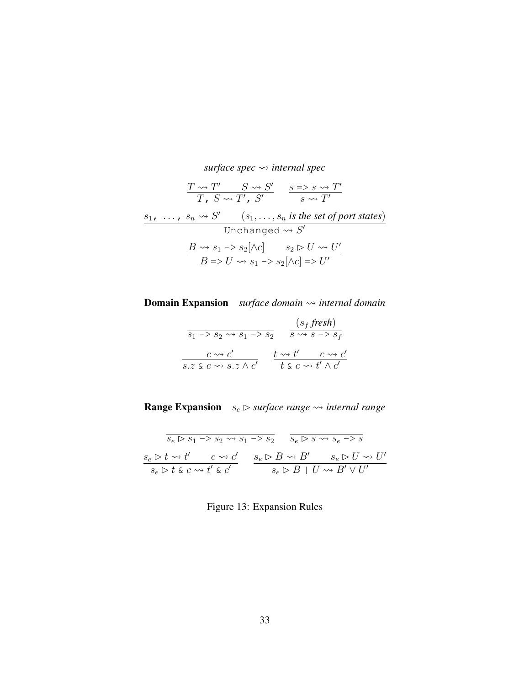surface spec 
$$
\rightsquigarrow
$$
 internal spec  
\n
$$
\frac{T \rightsquigarrow T' \qquad S \rightsquigarrow S'}{T, S \rightsquigarrow T', S'} \qquad \frac{s = s \rightsquigarrow T'}{s \rightsquigarrow T'}
$$
\n
$$
\frac{s_1, \dots, s_n \rightsquigarrow S' \qquad (s_1, \dots, s_n \text{ is the set of port states})}{\text{Unchanged } \rightsquigarrow S'}
$$
\n
$$
\frac{B \rightsquigarrow s_1 \rightarrow s_2[\land c] \qquad s_2 \triangleright U \rightsquigarrow U'}{B \Rightarrow U \rightsquigarrow s_1 \rightarrow s_2[\land c] \Rightarrow U'}
$$

**Domain Expansion** *surface domain*  $\rightsquigarrow$  *internal domain* 

$$
\frac{(s_f \text{ fresh})}{s_1 \to s_2 \leadsto s_1 \to s_2} \quad \frac{(s_f \text{ fresh})}{s \leadsto s \to s_f}
$$
\n
$$
\frac{c \leadsto c'}{s \text{ s.t. } c \leadsto s \text{ s.t. } c'} \quad \frac{t \leadsto t'}{t \text{ s.t. } c \leadsto t' \land c'}
$$

**Range Expansion**  $s_e \rhd surface range \rightarrow internal range$ 

<span id="page-36-0"></span>
$$
\begin{array}{cc}\n\overline{s_e \rhd s_1 \rhd s_2 \rhd s_1 \rhd s_2} & \overline{s_e \rhd s \rhd s_e \rhd s} \\
\underline{s_e \rhd t \rhd t'} & c \rhd t' & c \rhd t' \\
\hline\n\overline{s_e \rhd t \rhd t \rhd t'} & \overline{s_e \rhd B \rhd B \rhd t'} & \overline{s_e \rhd B \rhd t' \rhd t'}}\n\end{array}
$$

Figure 13: Expansion Rules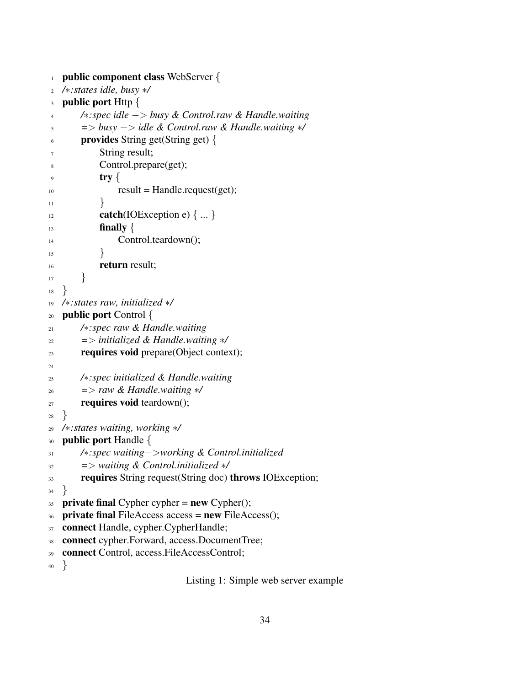```
1 public component class WebServer {
2 /∗:states idle, busy ∗/
3 public port Http {
4 /∗:spec idle −> busy & Control.raw & Handle.waiting
 5 => busy −> idle & Control.raw & Handle.waiting ∗/
 6 \qquad provides String get(String get) {
             String result;
 8 Control.prepare(get);
             try \{_{10} result = Handle.request(get);
\left\{\n \begin{array}{ccc}\n 11 & & \\
 11 & & \\
 11 & & \\
 11 & & \\
 11 & & \\
 11 & & \\
 11 & & \\
 11 & & \\
 11 & & \\
 11 & & \\
 11 & & \\
 11 & & \\
 11 & & \\
 11 & & \\
 11 & & \\
 11 & & \\
 11 & & \\
 11 & & \\
 11 & & \\
 11 & & \\
 11 & &_{12} catch(IOException e) \{ \dots \}\lim_{13} finally \{14 Control.teardown();
15 }
<sup>16</sup> return result;
17 }
18 }
19 /∗:states raw, initialized ∗/
20 public port Control {
21 /∗:spec raw & Handle.waiting
22 => initialized & Handle.waiting ∗/
23 requires void prepare(Object context);
24
25 /∗:spec initialized & Handle.waiting
26 => raw & Handle.waiting ∗/
27 requires void teardown();
28 }
29 /∗:states waiting, working ∗/
30 public port Handle \{31 /∗:spec waiting−>working & Control.initialized
32 => waiting & Control.initialized ∗/
33 requires String request(String doc) throws IOException;
34 }
35 private final Cypher cypher = new Cypher();
36 private final FileAccess access = new FileAccess();
37 connect Handle, cypher.CypherHandle;
38 connect cypher.Forward, access.DocumentTree;
39 connect Control, access.FileAccessControl;
40 }
```
Listing 1: Simple web server example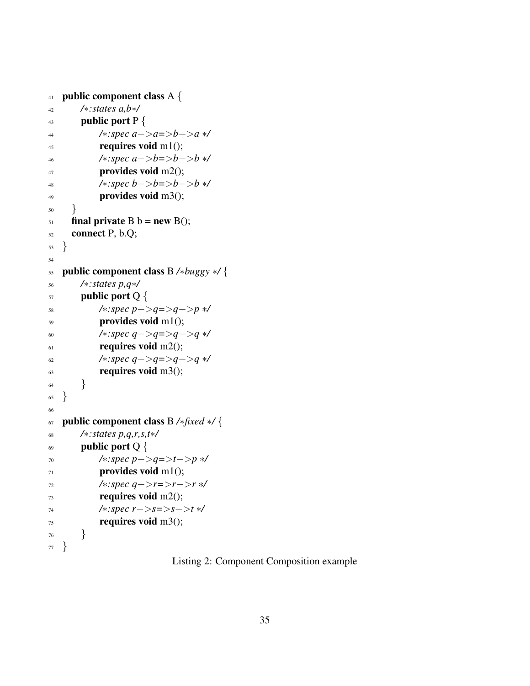```
41 public component class A {
42 /∗:states a,b∗/
43 public port P {
44 /∗:spec a−>a=>b−>a ∗/
45 requires void m1();
46 /∗:spec a−>b=>b−>b ∗/
47 provides void m2();
48 /∗:spec b−>b=>b−>b ∗/
49 provides void m3();
50 }
51 final private B b = new B();
52 connect P, b.Q;
53 }
54
55 public component class B /∗buggy ∗/ {
56 /∗:states p,q∗/
57 public port Q {
58 /∗:spec p−>q=>q−>p ∗/
59 provides void m1();
60 /∗:spec q−>q=>q−>q ∗/
_{61} requires void m2();
62 /∗:spec q−>q=>q−>q ∗/
63 requires void m3();
64 }
65 }
66
67 public component class B /∗fixed ∗/ {
68 /∗:states p,q,r,s,t∗/
69 public port Q \{70 /∗:spec p−>q=>t−>p ∗/
71 provides void m1();
72 /∗:spec q−>r=>r−>r ∗/
r_{3} requires void m2();
74 /∗:spec r−>s=>s−>t ∗/
75 requires void m3();
76 }
77 }
```
Listing 2: Component Composition example